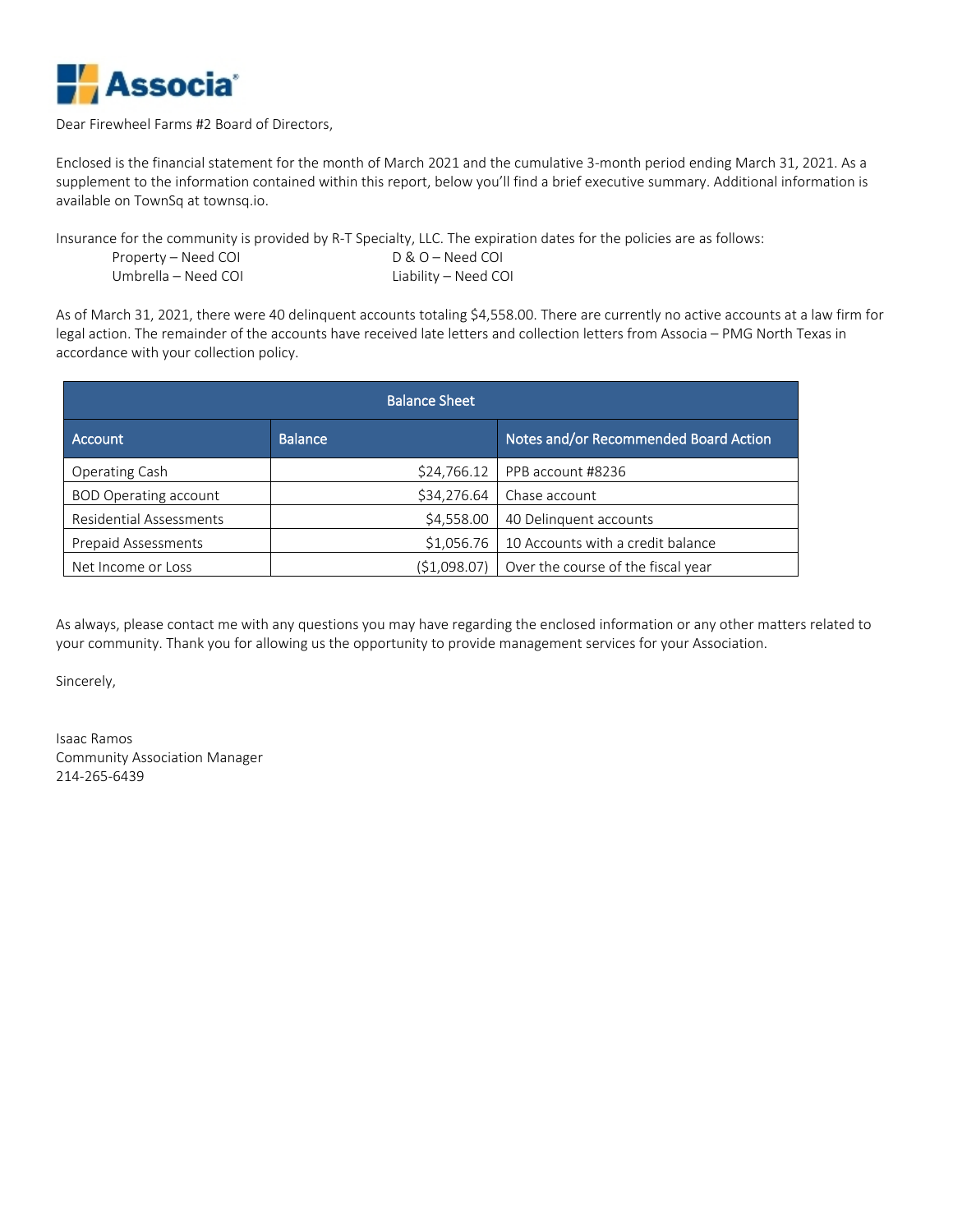

#### Dear Firewheel Farms #2 Board of Directors,

Enclosed is the financial statement for the month of March 2021 and the cumulative 3-month period ending March 31, 2021. As a supplement to the information contained within this report, below you'll find a brief executive summary. Additional information is available on TownSq at townsq.io.

Insurance for the community is provided by R-T Specialty, LLC. The expiration dates for the policies are as follows: Property – Need COI D & O – Need COI Umbrella – Need COI Liability – Need COI

As of March 31, 2021, there were 40 delinquent accounts totaling \$4,558.00. There are currently no active accounts at a law firm for legal action. The remainder of the accounts have received late letters and collection letters from Associa – PMG North Texas in accordance with your collection policy.

|                              | <b>Balance Sheet</b> |                                       |
|------------------------------|----------------------|---------------------------------------|
| <b>Account</b>               | <b>Balance</b>       | Notes and/or Recommended Board Action |
| Operating Cash               | \$24,766.12          | PPB account #8236                     |
| <b>BOD Operating account</b> | \$34,276.64          | Chase account                         |
| Residential Assessments      | \$4,558.00           | 40 Delinquent accounts                |
| <b>Prepaid Assessments</b>   | \$1,056.76           | 10 Accounts with a credit balance     |
| Net Income or Loss           | (51,098.07)          | Over the course of the fiscal year    |

As always, please contact me with any questions you may have regarding the enclosed information or any other matters related to your community. Thank you for allowing us the opportunity to provide management services for your Association.

Sincerely,

Isaac Ramos Community Association Manager 214-265-6439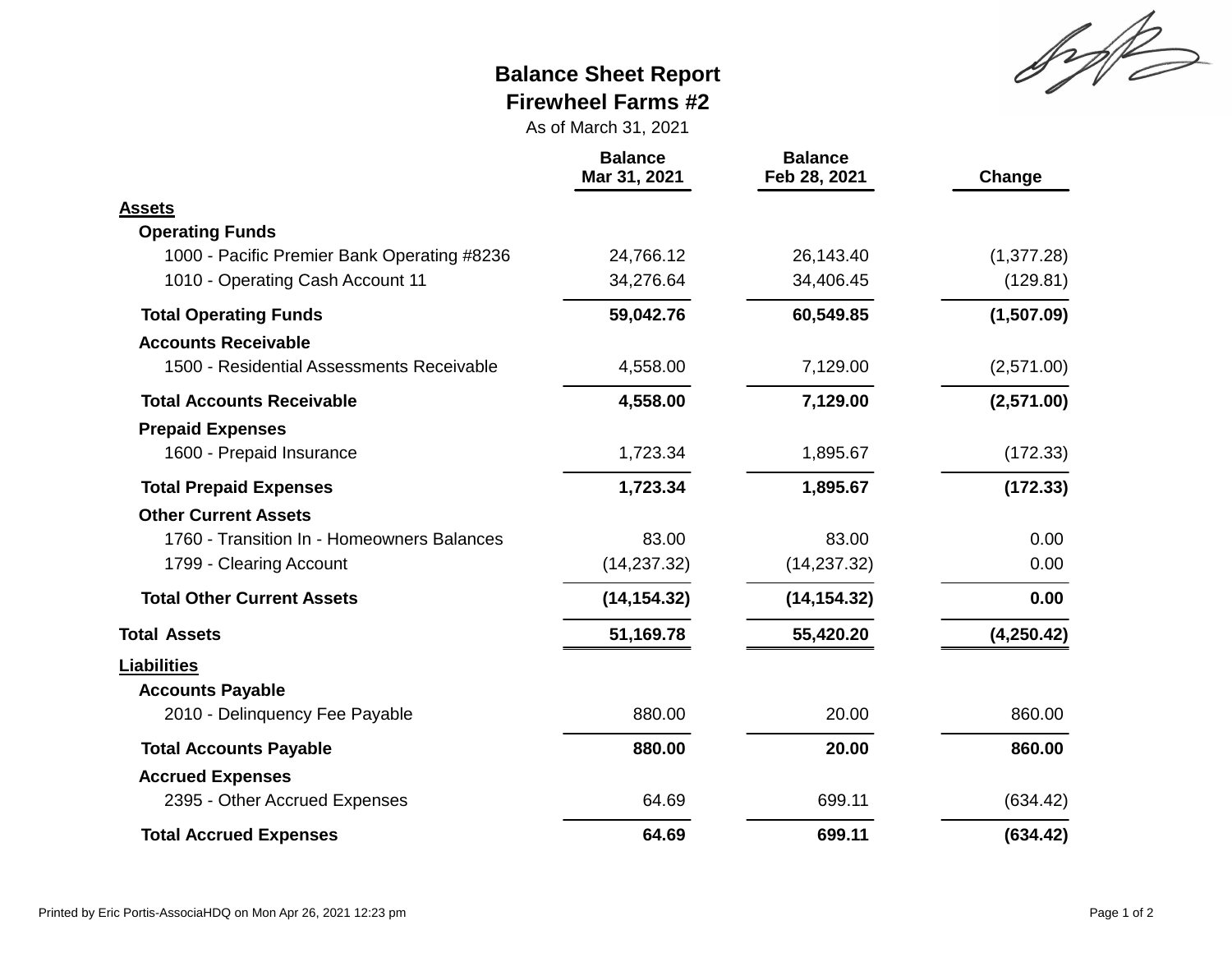Sylt

# **Balance Sheet Report Firewheel Farms #2**

As of March 31, 2021

|                                             | <b>Balance</b><br>Mar 31, 2021 | <b>Balance</b><br>Feb 28, 2021 | Change      |
|---------------------------------------------|--------------------------------|--------------------------------|-------------|
| <b>Assets</b>                               |                                |                                |             |
| <b>Operating Funds</b>                      |                                |                                |             |
| 1000 - Pacific Premier Bank Operating #8236 | 24,766.12                      | 26,143.40                      | (1, 377.28) |
| 1010 - Operating Cash Account 11            | 34,276.64                      | 34,406.45                      | (129.81)    |
| <b>Total Operating Funds</b>                | 59,042.76                      | 60,549.85                      | (1,507.09)  |
| <b>Accounts Receivable</b>                  |                                |                                |             |
| 1500 - Residential Assessments Receivable   | 4,558.00                       | 7,129.00                       | (2,571.00)  |
| <b>Total Accounts Receivable</b>            | 4,558.00                       | 7,129.00                       | (2,571.00)  |
| <b>Prepaid Expenses</b>                     |                                |                                |             |
| 1600 - Prepaid Insurance                    | 1,723.34                       | 1,895.67                       | (172.33)    |
| <b>Total Prepaid Expenses</b>               | 1,723.34                       | 1,895.67                       | (172.33)    |
| <b>Other Current Assets</b>                 |                                |                                |             |
| 1760 - Transition In - Homeowners Balances  | 83.00                          | 83.00                          | 0.00        |
| 1799 - Clearing Account                     | (14, 237.32)                   | (14, 237.32)                   | 0.00        |
| <b>Total Other Current Assets</b>           | (14, 154.32)                   | (14, 154.32)                   | 0.00        |
| <b>Total Assets</b>                         | 51,169.78                      | 55,420.20                      | (4,250.42)  |
| <b>Liabilities</b>                          |                                |                                |             |
| <b>Accounts Payable</b>                     |                                |                                |             |
| 2010 - Delinquency Fee Payable              | 880.00                         | 20.00                          | 860.00      |
| <b>Total Accounts Payable</b>               | 880.00                         | 20.00                          | 860.00      |
| <b>Accrued Expenses</b>                     |                                |                                |             |
| 2395 - Other Accrued Expenses               | 64.69                          | 699.11                         | (634.42)    |
| <b>Total Accrued Expenses</b>               | 64.69                          | 699.11                         | (634.42)    |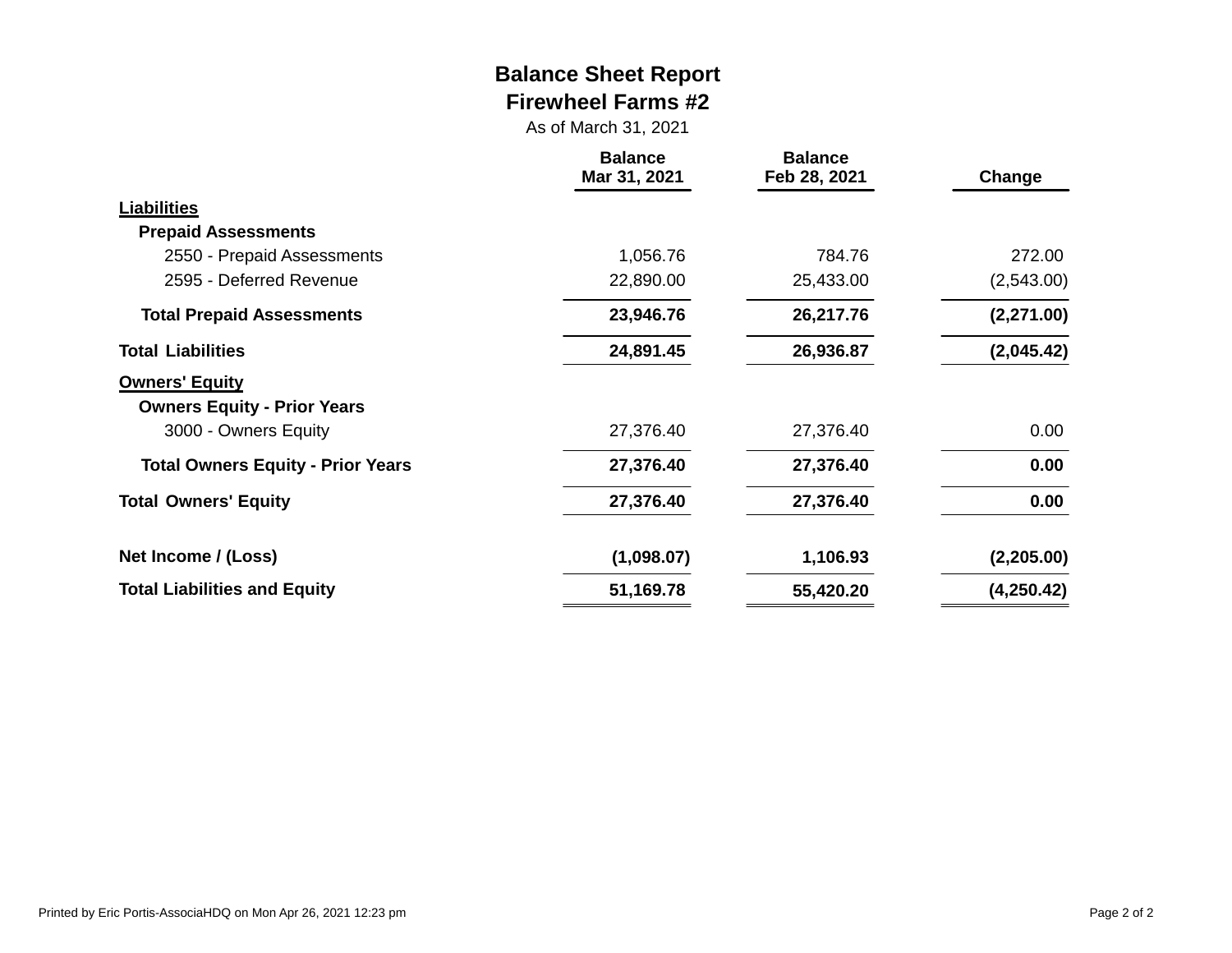## **Balance Sheet Report Firewheel Farms #2**

As of March 31, 2021

|                                                             | <b>Balance</b><br>Mar 31, 2021 | <b>Balance</b><br>Feb 28, 2021 | Change     |
|-------------------------------------------------------------|--------------------------------|--------------------------------|------------|
| <b>Liabilities</b>                                          |                                |                                |            |
| <b>Prepaid Assessments</b>                                  |                                |                                |            |
| 2550 - Prepaid Assessments                                  | 1,056.76                       | 784.76                         | 272.00     |
| 2595 - Deferred Revenue                                     | 22,890.00                      | 25,433.00                      | (2,543.00) |
| <b>Total Prepaid Assessments</b>                            | 23,946.76                      | 26,217.76                      | (2,271.00) |
| <b>Total Liabilities</b>                                    | 24,891.45                      | 26,936.87                      | (2,045.42) |
| <b>Owners' Equity</b><br><b>Owners Equity - Prior Years</b> |                                |                                |            |
| 3000 - Owners Equity                                        | 27,376.40                      | 27,376.40                      | 0.00       |
| <b>Total Owners Equity - Prior Years</b>                    | 27,376.40                      | 27,376.40                      | 0.00       |
| <b>Total Owners' Equity</b>                                 | 27,376.40                      | 27,376.40                      | 0.00       |
| Net Income / (Loss)                                         | (1,098.07)                     | 1,106.93                       | (2,205.00) |
| <b>Total Liabilities and Equity</b>                         | 51,169.78                      | 55,420.20                      | (4,250.42) |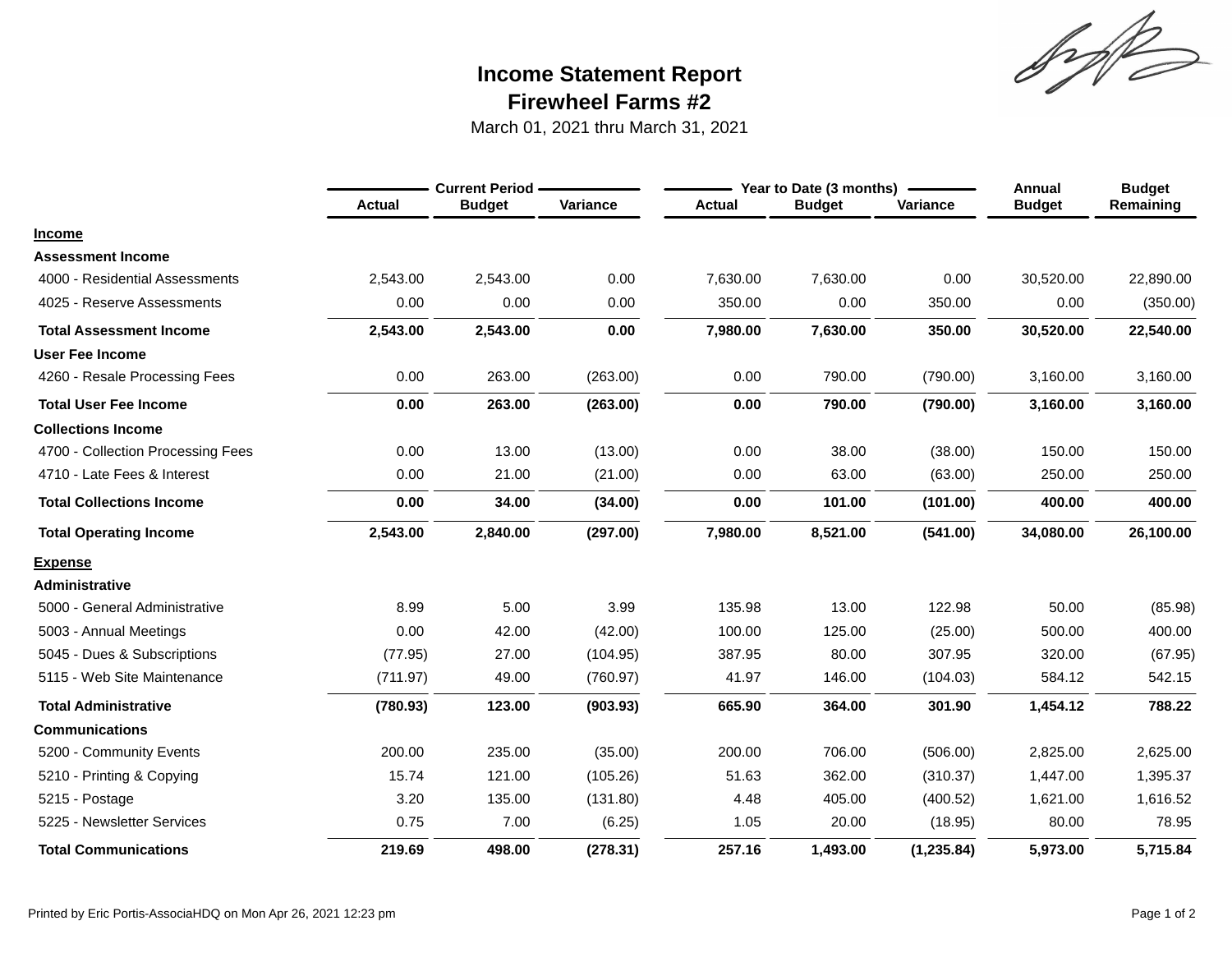Sylt

# **Firewheel Farms #2 Income Statement Report**

March 01, 2021 thru March 31, 2021

|                                   |               | <b>Current Period -</b> |          |               | Year to Date (3 months) |             | <b>Annual</b> | <b>Budget</b> |
|-----------------------------------|---------------|-------------------------|----------|---------------|-------------------------|-------------|---------------|---------------|
|                                   | <b>Actual</b> | <b>Budget</b>           | Variance | <b>Actual</b> | <b>Budget</b>           | Variance    | <b>Budget</b> | Remaining     |
| <b>Income</b>                     |               |                         |          |               |                         |             |               |               |
| <b>Assessment Income</b>          |               |                         |          |               |                         |             |               |               |
| 4000 - Residential Assessments    | 2,543.00      | 2,543.00                | 0.00     | 7,630.00      | 7,630.00                | 0.00        | 30,520.00     | 22,890.00     |
| 4025 - Reserve Assessments        | 0.00          | 0.00                    | 0.00     | 350.00        | 0.00                    | 350.00      | 0.00          | (350.00)      |
| <b>Total Assessment Income</b>    | 2,543.00      | 2,543.00                | 0.00     | 7,980.00      | 7,630.00                | 350.00      | 30,520.00     | 22,540.00     |
| <b>User Fee Income</b>            |               |                         |          |               |                         |             |               |               |
| 4260 - Resale Processing Fees     | 0.00          | 263.00                  | (263.00) | 0.00          | 790.00                  | (790.00)    | 3,160.00      | 3,160.00      |
| <b>Total User Fee Income</b>      | 0.00          | 263.00                  | (263.00) | 0.00          | 790.00                  | (790.00)    | 3,160.00      | 3,160.00      |
| <b>Collections Income</b>         |               |                         |          |               |                         |             |               |               |
| 4700 - Collection Processing Fees | 0.00          | 13.00                   | (13.00)  | 0.00          | 38.00                   | (38.00)     | 150.00        | 150.00        |
| 4710 - Late Fees & Interest       | 0.00          | 21.00                   | (21.00)  | 0.00          | 63.00                   | (63.00)     | 250.00        | 250.00        |
| <b>Total Collections Income</b>   | 0.00          | 34.00                   | (34.00)  | 0.00          | 101.00                  | (101.00)    | 400.00        | 400.00        |
| <b>Total Operating Income</b>     | 2,543.00      | 2,840.00                | (297.00) | 7,980.00      | 8,521.00                | (541.00)    | 34,080.00     | 26,100.00     |
| <b>Expense</b>                    |               |                         |          |               |                         |             |               |               |
| <b>Administrative</b>             |               |                         |          |               |                         |             |               |               |
| 5000 - General Administrative     | 8.99          | 5.00                    | 3.99     | 135.98        | 13.00                   | 122.98      | 50.00         | (85.98)       |
| 5003 - Annual Meetings            | 0.00          | 42.00                   | (42.00)  | 100.00        | 125.00                  | (25.00)     | 500.00        | 400.00        |
| 5045 - Dues & Subscriptions       | (77.95)       | 27.00                   | (104.95) | 387.95        | 80.00                   | 307.95      | 320.00        | (67.95)       |
| 5115 - Web Site Maintenance       | (711.97)      | 49.00                   | (760.97) | 41.97         | 146.00                  | (104.03)    | 584.12        | 542.15        |
| <b>Total Administrative</b>       | (780.93)      | 123.00                  | (903.93) | 665.90        | 364.00                  | 301.90      | 1,454.12      | 788.22        |
| <b>Communications</b>             |               |                         |          |               |                         |             |               |               |
| 5200 - Community Events           | 200.00        | 235.00                  | (35.00)  | 200.00        | 706.00                  | (506.00)    | 2,825.00      | 2,625.00      |
| 5210 - Printing & Copying         | 15.74         | 121.00                  | (105.26) | 51.63         | 362.00                  | (310.37)    | 1,447.00      | 1,395.37      |
| 5215 - Postage                    | 3.20          | 135.00                  | (131.80) | 4.48          | 405.00                  | (400.52)    | 1,621.00      | 1,616.52      |
| 5225 - Newsletter Services        | 0.75          | 7.00                    | (6.25)   | 1.05          | 20.00                   | (18.95)     | 80.00         | 78.95         |
| <b>Total Communications</b>       | 219.69        | 498.00                  | (278.31) | 257.16        | 1,493.00                | (1, 235.84) | 5,973.00      | 5,715.84      |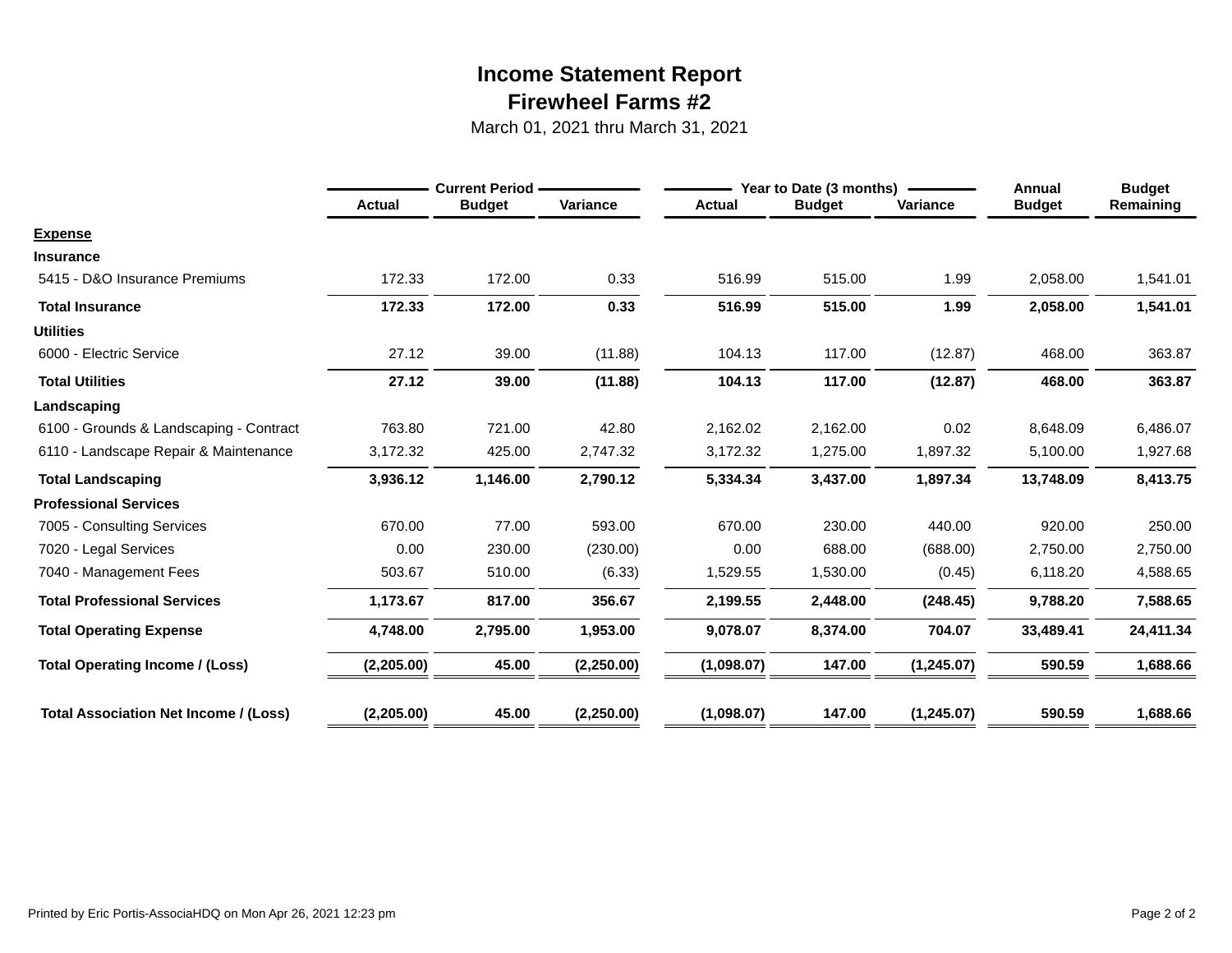# **Firewheel Farms #2 Income Statement Report**

March 01, 2021 thru March 31, 2021

|                                              |               | <b>Current Period</b> |            |               | Year to Date (3 months) |             | Annual        | <b>Budget</b> |
|----------------------------------------------|---------------|-----------------------|------------|---------------|-------------------------|-------------|---------------|---------------|
|                                              | <b>Actual</b> | <b>Budget</b>         | Variance   | <b>Actual</b> | <b>Budget</b>           | Variance    | <b>Budget</b> | Remaining     |
| <b>Expense</b>                               |               |                       |            |               |                         |             |               |               |
| <b>Insurance</b>                             |               |                       |            |               |                         |             |               |               |
| 5415 - D&O Insurance Premiums                | 172.33        | 172.00                | 0.33       | 516.99        | 515.00                  | 1.99        | 2,058.00      | 1,541.01      |
| <b>Total Insurance</b>                       | 172.33        | 172.00                | 0.33       | 516.99        | 515.00                  | 1.99        | 2,058.00      | 1,541.01      |
| <b>Utilities</b>                             |               |                       |            |               |                         |             |               |               |
| 6000 - Electric Service                      | 27.12         | 39.00                 | (11.88)    | 104.13        | 117.00                  | (12.87)     | 468.00        | 363.87        |
| <b>Total Utilities</b>                       | 27.12         | 39.00                 | (11.88)    | 104.13        | 117.00                  | (12.87)     | 468.00        | 363.87        |
| Landscaping                                  |               |                       |            |               |                         |             |               |               |
| 6100 - Grounds & Landscaping - Contract      | 763.80        | 721.00                | 42.80      | 2,162.02      | 2,162.00                | 0.02        | 8,648.09      | 6,486.07      |
| 6110 - Landscape Repair & Maintenance        | 3,172.32      | 425.00                | 2,747.32   | 3,172.32      | 1,275.00                | 1,897.32    | 5,100.00      | 1,927.68      |
| <b>Total Landscaping</b>                     | 3,936.12      | 1,146.00              | 2,790.12   | 5,334.34      | 3,437.00                | 1,897.34    | 13,748.09     | 8,413.75      |
| <b>Professional Services</b>                 |               |                       |            |               |                         |             |               |               |
| 7005 - Consulting Services                   | 670.00        | 77.00                 | 593.00     | 670.00        | 230.00                  | 440.00      | 920.00        | 250.00        |
| 7020 - Legal Services                        | 0.00          | 230.00                | (230.00)   | 0.00          | 688.00                  | (688.00)    | 2,750.00      | 2,750.00      |
| 7040 - Management Fees                       | 503.67        | 510.00                | (6.33)     | 1,529.55      | 1,530.00                | (0.45)      | 6,118.20      | 4,588.65      |
| <b>Total Professional Services</b>           | 1,173.67      | 817.00                | 356.67     | 2,199.55      | 2,448.00                | (248.45)    | 9,788.20      | 7,588.65      |
| <b>Total Operating Expense</b>               | 4,748.00      | 2,795.00              | 1,953.00   | 9,078.07      | 8,374.00                | 704.07      | 33,489.41     | 24,411.34     |
| <b>Total Operating Income / (Loss)</b>       | (2, 205.00)   | 45.00                 | (2,250.00) | (1,098.07)    | 147.00                  | (1, 245.07) | 590.59        | 1,688.66      |
| <b>Total Association Net Income / (Loss)</b> | (2,205.00)    | 45.00                 | (2,250.00) | (1,098.07)    | 147.00                  | (1,245.07)  | 590.59        | 1,688.66      |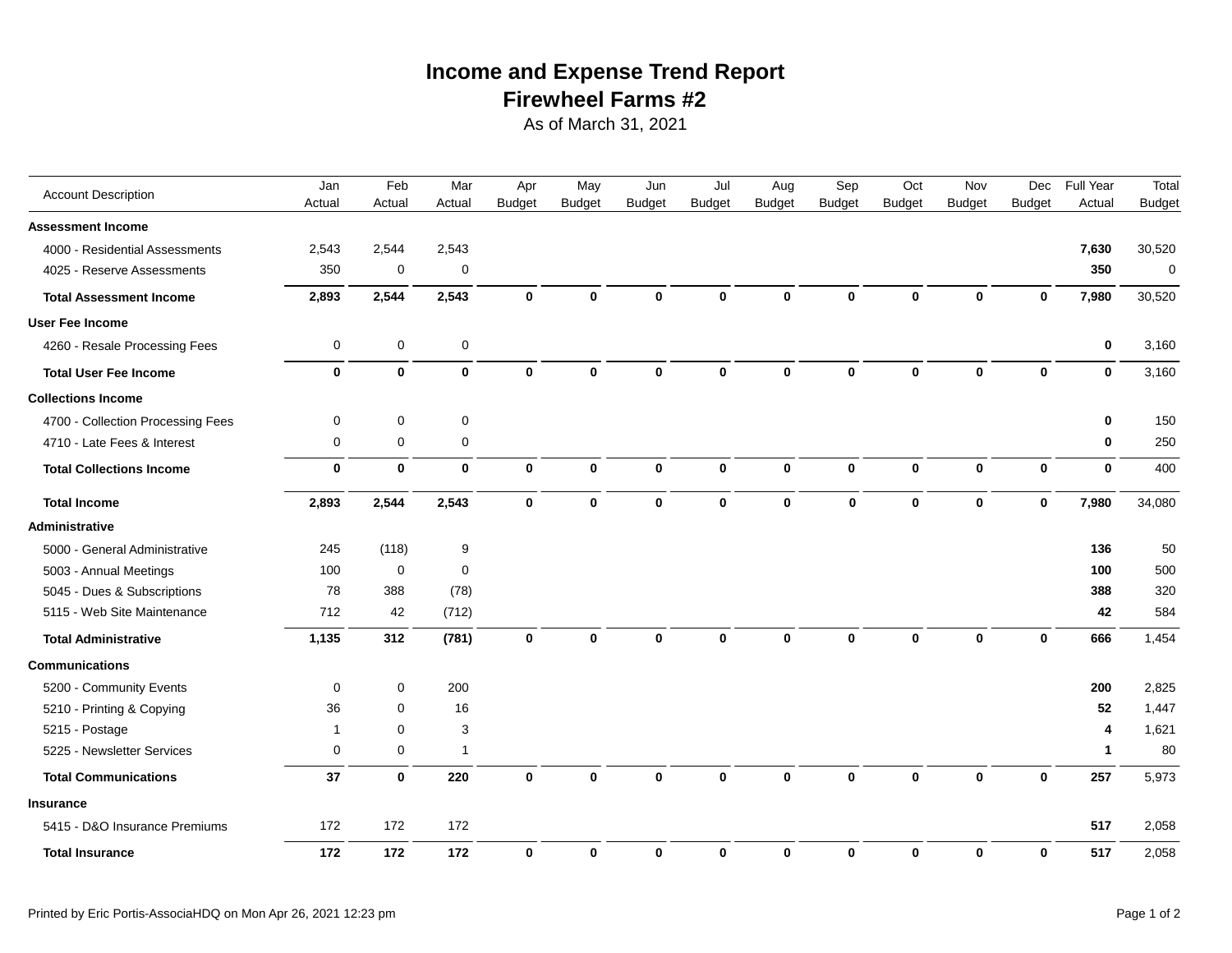# **Firewheel Farms #2 Income and Expense Trend Report**

As of March 31, 2021

| <b>Account Description</b>        | Jan          | Feb         | Mar          | Apr           | May           | Jun           | Jul           | Aug           | Sep           | Oct           | Nov           | Dec           | Full Year    | Total         |
|-----------------------------------|--------------|-------------|--------------|---------------|---------------|---------------|---------------|---------------|---------------|---------------|---------------|---------------|--------------|---------------|
|                                   | Actual       | Actual      | Actual       | <b>Budget</b> | <b>Budget</b> | <b>Budget</b> | <b>Budget</b> | <b>Budget</b> | <b>Budget</b> | <b>Budget</b> | <b>Budget</b> | <b>Budget</b> | Actual       | <b>Budget</b> |
| <b>Assessment Income</b>          |              |             |              |               |               |               |               |               |               |               |               |               |              |               |
| 4000 - Residential Assessments    | 2,543        | 2,544       | 2,543        |               |               |               |               |               |               |               |               |               | 7,630        | 30,520        |
| 4025 - Reserve Assessments        | 350          | $\mathbf 0$ | $\mathbf 0$  |               |               |               |               |               |               |               |               |               | 350          | $\mathbf 0$   |
| <b>Total Assessment Income</b>    | 2,893        | 2,544       | 2,543        | $\mathbf 0$   | $\mathbf 0$   | $\bf{0}$      | 0             | $\mathbf 0$   | $\bf{0}$      | $\bf{0}$      | $\mathbf 0$   | $\mathbf{0}$  | 7,980        | 30,520        |
| <b>User Fee Income</b>            |              |             |              |               |               |               |               |               |               |               |               |               |              |               |
| 4260 - Resale Processing Fees     | 0            | $\mathbf 0$ | $\mathbf 0$  |               |               |               |               |               |               |               |               |               | $\bf{0}$     | 3,160         |
| <b>Total User Fee Income</b>      | $\mathbf 0$  | $\mathbf 0$ | $\mathbf 0$  | $\mathbf 0$   | $\mathbf 0$   | $\Omega$      | $\bf{0}$      | $\bf{0}$      | $\bf{0}$      | $\bf{0}$      | $\mathbf 0$   | $\mathbf{0}$  | $\mathbf{0}$ | 3,160         |
| <b>Collections Income</b>         |              |             |              |               |               |               |               |               |               |               |               |               |              |               |
| 4700 - Collection Processing Fees | 0            | $\mathbf 0$ | $\mathbf 0$  |               |               |               |               |               |               |               |               |               | $\mathbf 0$  | 150           |
| 4710 - Late Fees & Interest       | 0            | $\mathbf 0$ | $\mathbf 0$  |               |               |               |               |               |               |               |               |               | $\mathbf 0$  | 250           |
| <b>Total Collections Income</b>   | 0            | $\mathbf 0$ | $\mathbf 0$  | $\mathbf 0$   | $\mathbf 0$   | $\bf{0}$      | $\mathbf 0$   | $\mathbf 0$   | $\mathbf 0$   | $\mathbf 0$   | $\bf{0}$      | $\mathbf 0$   | $\mathbf 0$  | 400           |
| <b>Total Income</b>               | 2,893        | 2,544       | 2,543        | $\mathbf 0$   | $\bf{0}$      | 0             | 0             | $\mathbf{0}$  | 0             | 0             | $\bf{0}$      | $\bf{0}$      | 7,980        | 34,080        |
| Administrative                    |              |             |              |               |               |               |               |               |               |               |               |               |              |               |
| 5000 - General Administrative     | 245          | (118)       | 9            |               |               |               |               |               |               |               |               |               | 136          | 50            |
| 5003 - Annual Meetings            | 100          | $\mathbf 0$ | $\mathbf 0$  |               |               |               |               |               |               |               |               |               | 100          | 500           |
| 5045 - Dues & Subscriptions       | 78           | 388         | (78)         |               |               |               |               |               |               |               |               |               | 388          | 320           |
| 5115 - Web Site Maintenance       | 712          | 42          | (712)        |               |               |               |               |               |               |               |               |               | 42           | 584           |
| <b>Total Administrative</b>       | 1,135        | 312         | (781)        | $\mathbf 0$   | $\mathbf{0}$  | $\mathbf{0}$  | $\mathbf{0}$  | $\mathbf{0}$  | $\bf{0}$      | $\mathbf{0}$  | $\bf{0}$      | $\bf{0}$      | 666          | 1,454         |
| <b>Communications</b>             |              |             |              |               |               |               |               |               |               |               |               |               |              |               |
| 5200 - Community Events           | 0            | 0           | 200          |               |               |               |               |               |               |               |               |               | 200          | 2,825         |
| 5210 - Printing & Copying         | 36           | $\mathbf 0$ | 16           |               |               |               |               |               |               |               |               |               | 52           | 1,447         |
| 5215 - Postage                    | $\mathbf{1}$ | $\mathbf 0$ | 3            |               |               |               |               |               |               |               |               |               | 4            | 1,621         |
| 5225 - Newsletter Services        | 0            | $\mathbf 0$ | $\mathbf{1}$ |               |               |               |               |               |               |               |               |               | $\mathbf 1$  | 80            |
| <b>Total Communications</b>       | 37           | $\mathbf 0$ | 220          | $\mathbf 0$   | $\mathbf 0$   | $\bf{0}$      | $\bf{0}$      | $\mathbf{0}$  | $\bf{0}$      | 0             | $\mathbf{0}$  | $\bf{0}$      | 257          | 5,973         |
| <b>Insurance</b>                  |              |             |              |               |               |               |               |               |               |               |               |               |              |               |
| 5415 - D&O Insurance Premiums     | 172          | 172         | 172          |               |               |               |               |               |               |               |               |               | 517          | 2,058         |
| <b>Total Insurance</b>            | 172          | 172         | 172          | $\bf{0}$      | $\bf{0}$      | $\bf{0}$      | $\mathbf 0$   | $\mathbf 0$   | 0             | $\mathbf 0$   | $\bf{0}$      | $\mathbf 0$   | 517          | 2,058         |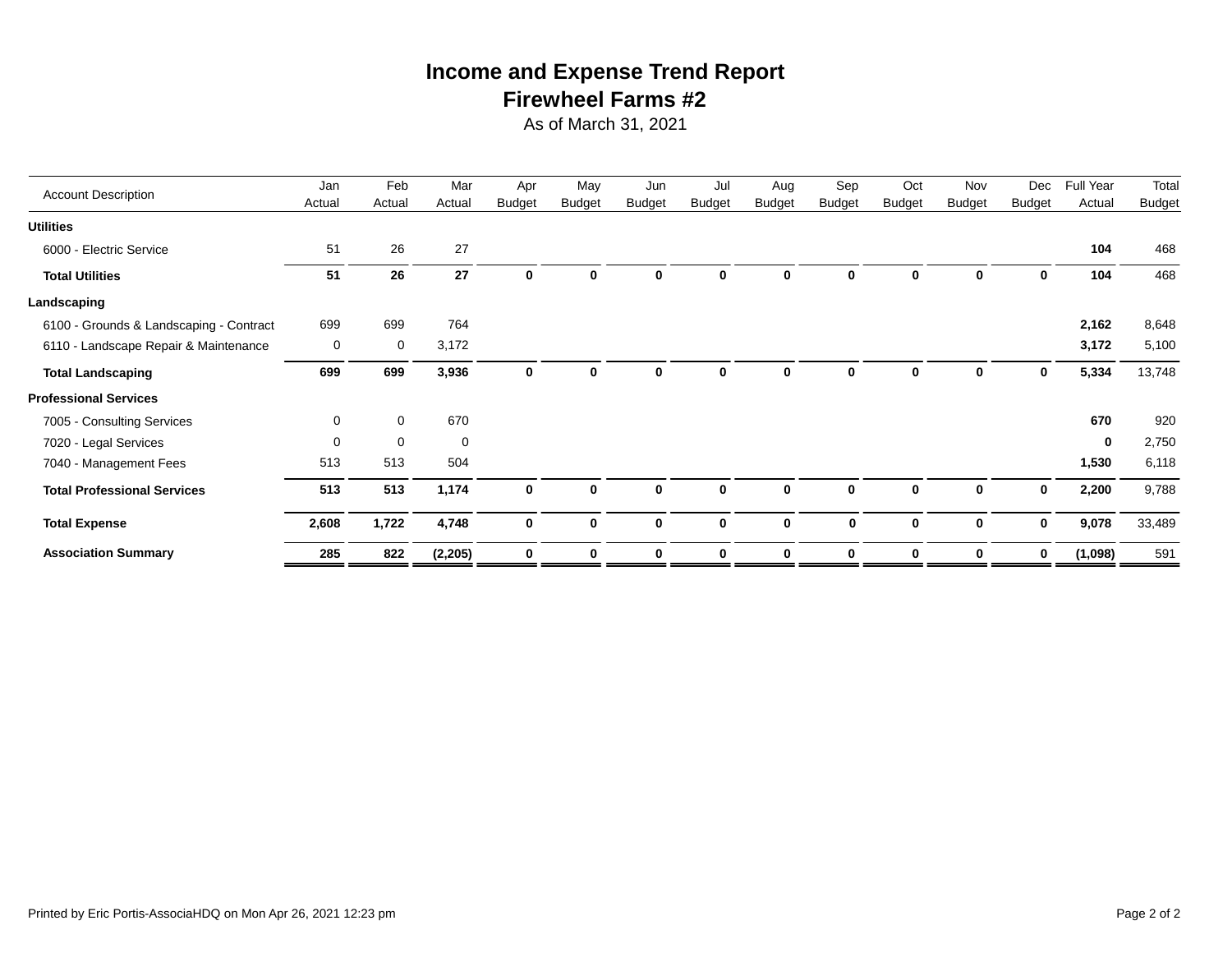# **Firewheel Farms #2 Income and Expense Trend Report**

As of March 31, 2021

|                                         | Jan      | Feb         | Mar         | Apr           | May           | Jun           | Jul           | Aug           | Sep           | Oct           | Nov           | Dec           | <b>Full Year</b> | Total         |
|-----------------------------------------|----------|-------------|-------------|---------------|---------------|---------------|---------------|---------------|---------------|---------------|---------------|---------------|------------------|---------------|
| <b>Account Description</b>              | Actual   | Actual      | Actual      | <b>Budget</b> | <b>Budget</b> | <b>Budget</b> | <b>Budget</b> | <b>Budget</b> | <b>Budget</b> | <b>Budget</b> | <b>Budget</b> | <b>Budget</b> | Actual           | <b>Budget</b> |
| <b>Utilities</b>                        |          |             |             |               |               |               |               |               |               |               |               |               |                  |               |
| 6000 - Electric Service                 | 51       | 26          | 27          |               |               |               |               |               |               |               |               |               | 104              | 468           |
| <b>Total Utilities</b>                  | 51       | 26          | 27          | 0             | $\bf{0}$      | <sup>0</sup>  | O.            | O             | 0             | 0             | 0             | 0             | 104              | 468           |
| Landscaping                             |          |             |             |               |               |               |               |               |               |               |               |               |                  |               |
| 6100 - Grounds & Landscaping - Contract | 699      | 699         | 764         |               |               |               |               |               |               |               |               |               | 2,162            | 8,648         |
| 6110 - Landscape Repair & Maintenance   | 0        | 0           | 3,172       |               |               |               |               |               |               |               |               |               | 3,172            | 5,100         |
| <b>Total Landscaping</b>                | 699      | 699         | 3,936       | 0             | 0             | O             | 0             | 0             | O             | 0             | 0             | 0             | 5,334            | 13,748        |
| <b>Professional Services</b>            |          |             |             |               |               |               |               |               |               |               |               |               |                  |               |
| 7005 - Consulting Services              | 0        | $\mathbf 0$ | 670         |               |               |               |               |               |               |               |               |               | 670              | 920           |
| 7020 - Legal Services                   | $\Omega$ | $\mathbf 0$ | $\mathbf 0$ |               |               |               |               |               |               |               |               |               | $\bf{0}$         | 2,750         |
| 7040 - Management Fees                  | 513      | 513         | 504         |               |               |               |               |               |               |               |               |               | 1,530            | 6,118         |
| <b>Total Professional Services</b>      | 513      | 513         | 1,174       | $\mathbf 0$   | $\mathbf 0$   | $\mathbf{0}$  | 0             | $\bf{0}$      | 0             | 0             | $\mathbf 0$   | 0             | 2,200            | 9,788         |
| <b>Total Expense</b>                    | 2,608    | 1,722       | 4,748       | 0             | $\mathbf 0$   | $\mathbf{0}$  | $\bf{0}$      | $\bf{0}$      | $\mathbf 0$   | $\mathbf 0$   | $\mathbf 0$   | 0             | 9,078            | 33,489        |
| <b>Association Summary</b>              | 285      | 822         | (2, 205)    | 0             | $\bf{0}$      | $\bf{0}$      | 0             | $\mathbf{0}$  | 0             | 0             | 0             | 0             | (1,098)          | 591           |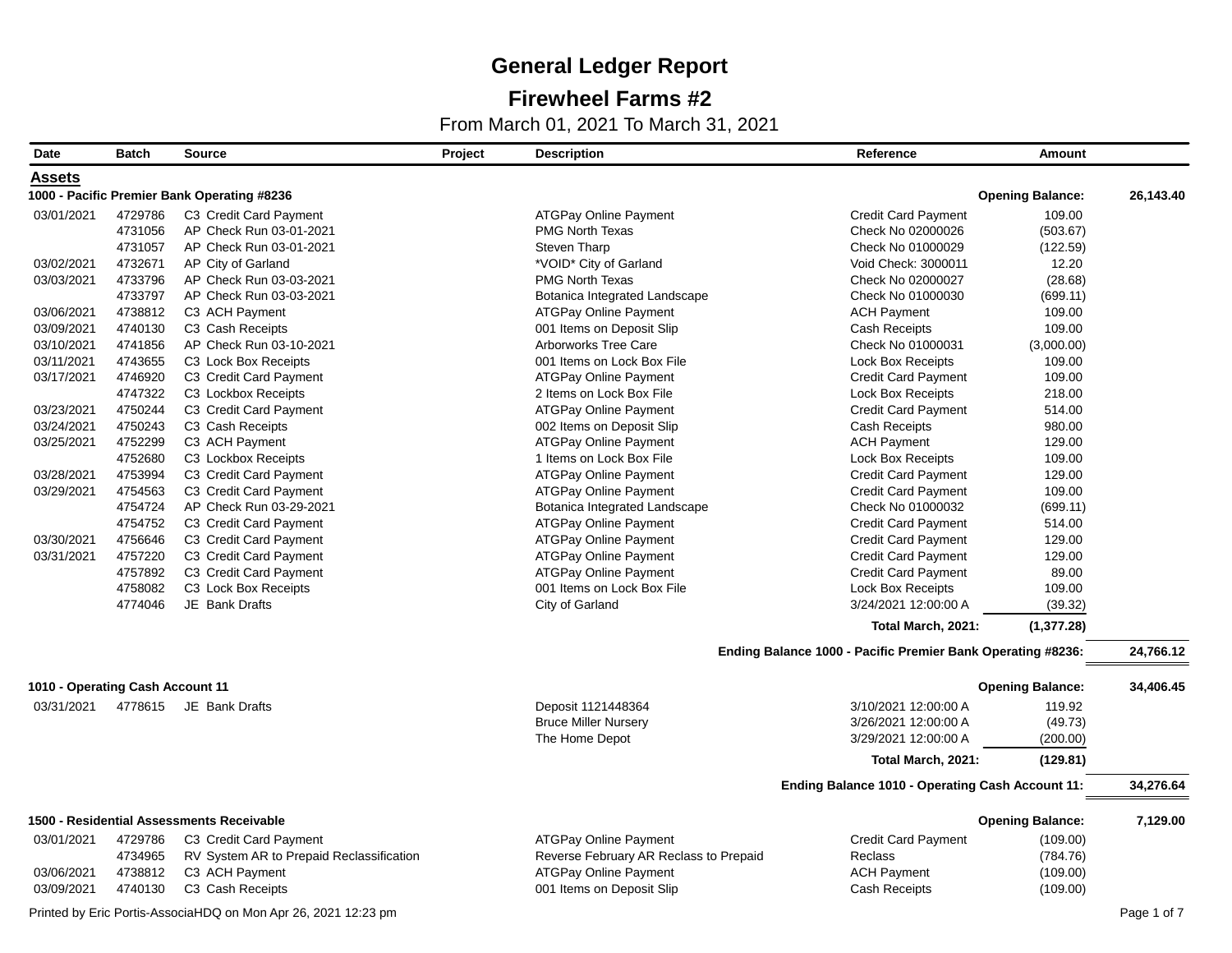## **Firewheel Farms #2**

From March 01, 2021 To March 31, 2021

| Date                             | <b>Batch</b> | <b>Source</b>                               | Project | <b>Description</b>                     | Reference                                                   | <b>Amount</b>           |           |
|----------------------------------|--------------|---------------------------------------------|---------|----------------------------------------|-------------------------------------------------------------|-------------------------|-----------|
| Assets                           |              |                                             |         |                                        |                                                             |                         |           |
|                                  |              | 1000 - Pacific Premier Bank Operating #8236 |         |                                        |                                                             | <b>Opening Balance:</b> | 26,143.40 |
| 03/01/2021                       | 4729786      | C3 Credit Card Payment                      |         | <b>ATGPay Online Payment</b>           | <b>Credit Card Payment</b>                                  | 109.00                  |           |
|                                  | 4731056      | AP Check Run 03-01-2021                     |         | <b>PMG North Texas</b>                 | Check No 02000026                                           | (503.67)                |           |
|                                  | 4731057      | AP Check Run 03-01-2021                     |         | <b>Steven Tharp</b>                    | Check No 01000029                                           | (122.59)                |           |
| 03/02/2021                       | 4732671      | AP City of Garland                          |         | *VOID* City of Garland                 | Void Check: 3000011                                         | 12.20                   |           |
| 03/03/2021                       | 4733796      | AP Check Run 03-03-2021                     |         | <b>PMG North Texas</b>                 | Check No 02000027                                           | (28.68)                 |           |
|                                  | 4733797      | AP Check Run 03-03-2021                     |         | Botanica Integrated Landscape          | Check No 01000030                                           | (699.11)                |           |
| 03/06/2021                       | 4738812      | C3 ACH Payment                              |         | <b>ATGPay Online Payment</b>           | <b>ACH Payment</b>                                          | 109.00                  |           |
| 03/09/2021                       | 4740130      | C3 Cash Receipts                            |         | 001 Items on Deposit Slip              | Cash Receipts                                               | 109.00                  |           |
| 03/10/2021                       | 4741856      | AP Check Run 03-10-2021                     |         | <b>Arborworks Tree Care</b>            | Check No 01000031                                           | (3,000.00)              |           |
| 03/11/2021                       | 4743655      | C3 Lock Box Receipts                        |         | 001 Items on Lock Box File             | <b>Lock Box Receipts</b>                                    | 109.00                  |           |
| 03/17/2021                       | 4746920      | C3 Credit Card Payment                      |         | <b>ATGPay Online Payment</b>           | <b>Credit Card Payment</b>                                  | 109.00                  |           |
|                                  | 4747322      | C3 Lockbox Receipts                         |         | 2 Items on Lock Box File               | <b>Lock Box Receipts</b>                                    | 218.00                  |           |
| 03/23/2021                       | 4750244      | C3 Credit Card Payment                      |         | <b>ATGPay Online Payment</b>           | Credit Card Payment                                         | 514.00                  |           |
| 03/24/2021                       | 4750243      | C3 Cash Receipts                            |         | 002 Items on Deposit Slip              | Cash Receipts                                               | 980.00                  |           |
| 03/25/2021                       | 4752299      | C3 ACH Payment                              |         | <b>ATGPay Online Payment</b>           | <b>ACH Payment</b>                                          | 129.00                  |           |
|                                  | 4752680      | C3 Lockbox Receipts                         |         | 1 Items on Lock Box File               | <b>Lock Box Receipts</b>                                    | 109.00                  |           |
| 03/28/2021                       | 4753994      | C3 Credit Card Payment                      |         | <b>ATGPay Online Payment</b>           | <b>Credit Card Payment</b>                                  | 129.00                  |           |
| 03/29/2021                       | 4754563      | C3 Credit Card Payment                      |         | <b>ATGPay Online Payment</b>           | <b>Credit Card Payment</b>                                  | 109.00                  |           |
|                                  | 4754724      | AP Check Run 03-29-2021                     |         | Botanica Integrated Landscape          | Check No 01000032                                           | (699.11)                |           |
|                                  | 4754752      | C3 Credit Card Payment                      |         | <b>ATGPay Online Payment</b>           | <b>Credit Card Payment</b>                                  | 514.00                  |           |
| 03/30/2021                       | 4756646      | C3 Credit Card Payment                      |         | <b>ATGPay Online Payment</b>           | <b>Credit Card Payment</b>                                  | 129.00                  |           |
| 03/31/2021                       | 4757220      | C3 Credit Card Payment                      |         | <b>ATGPay Online Payment</b>           | <b>Credit Card Payment</b>                                  | 129.00                  |           |
|                                  | 4757892      | C3 Credit Card Payment                      |         | <b>ATGPay Online Payment</b>           | <b>Credit Card Payment</b>                                  | 89.00                   |           |
|                                  | 4758082      | C3 Lock Box Receipts                        |         | 001 Items on Lock Box File             | <b>Lock Box Receipts</b>                                    | 109.00                  |           |
|                                  | 4774046      | JE Bank Drafts                              |         | City of Garland                        | 3/24/2021 12:00:00 A                                        | (39.32)                 |           |
|                                  |              |                                             |         |                                        | Total March, 2021:                                          | (1,377.28)              |           |
|                                  |              |                                             |         |                                        | Ending Balance 1000 - Pacific Premier Bank Operating #8236: |                         | 24,766.12 |
| 1010 - Operating Cash Account 11 |              |                                             |         |                                        |                                                             | <b>Opening Balance:</b> | 34,406.45 |
| 03/31/2021                       |              | 4778615 JE Bank Drafts                      |         | Deposit 1121448364                     | 3/10/2021 12:00:00 A                                        | 119.92                  |           |
|                                  |              |                                             |         | <b>Bruce Miller Nursery</b>            | 3/26/2021 12:00:00 A                                        | (49.73)                 |           |
|                                  |              |                                             |         | The Home Depot                         | 3/29/2021 12:00:00 A                                        | (200.00)                |           |
|                                  |              |                                             |         |                                        | Total March, 2021:                                          | (129.81)                |           |
|                                  |              |                                             |         |                                        | Ending Balance 1010 - Operating Cash Account 11:            |                         | 34,276.64 |
|                                  |              |                                             |         |                                        |                                                             |                         |           |
|                                  |              | 1500 - Residential Assessments Receivable   |         |                                        |                                                             | <b>Opening Balance:</b> | 7,129.00  |
| 03/01/2021                       | 4729786      | C3 Credit Card Payment                      |         | <b>ATGPay Online Payment</b>           | <b>Credit Card Payment</b>                                  | (109.00)                |           |
|                                  | 4734965      | RV System AR to Prepaid Reclassification    |         | Reverse February AR Reclass to Prepaid | <b>Reclass</b>                                              | (784.76)                |           |
| 03/06/2021                       | 4738812      | C3 ACH Payment                              |         | <b>ATGPay Online Payment</b>           | <b>ACH Payment</b>                                          | (109.00)                |           |
| 03/09/2021                       | 4740130      | C3 Cash Receipts                            |         | 001 Items on Deposit Slip              | Cash Receipts                                               | (109.00)                |           |

Printed by Eric Portis-AssociaHDQ on Mon Apr 26, 2021 12:23 pm Page 1 of 7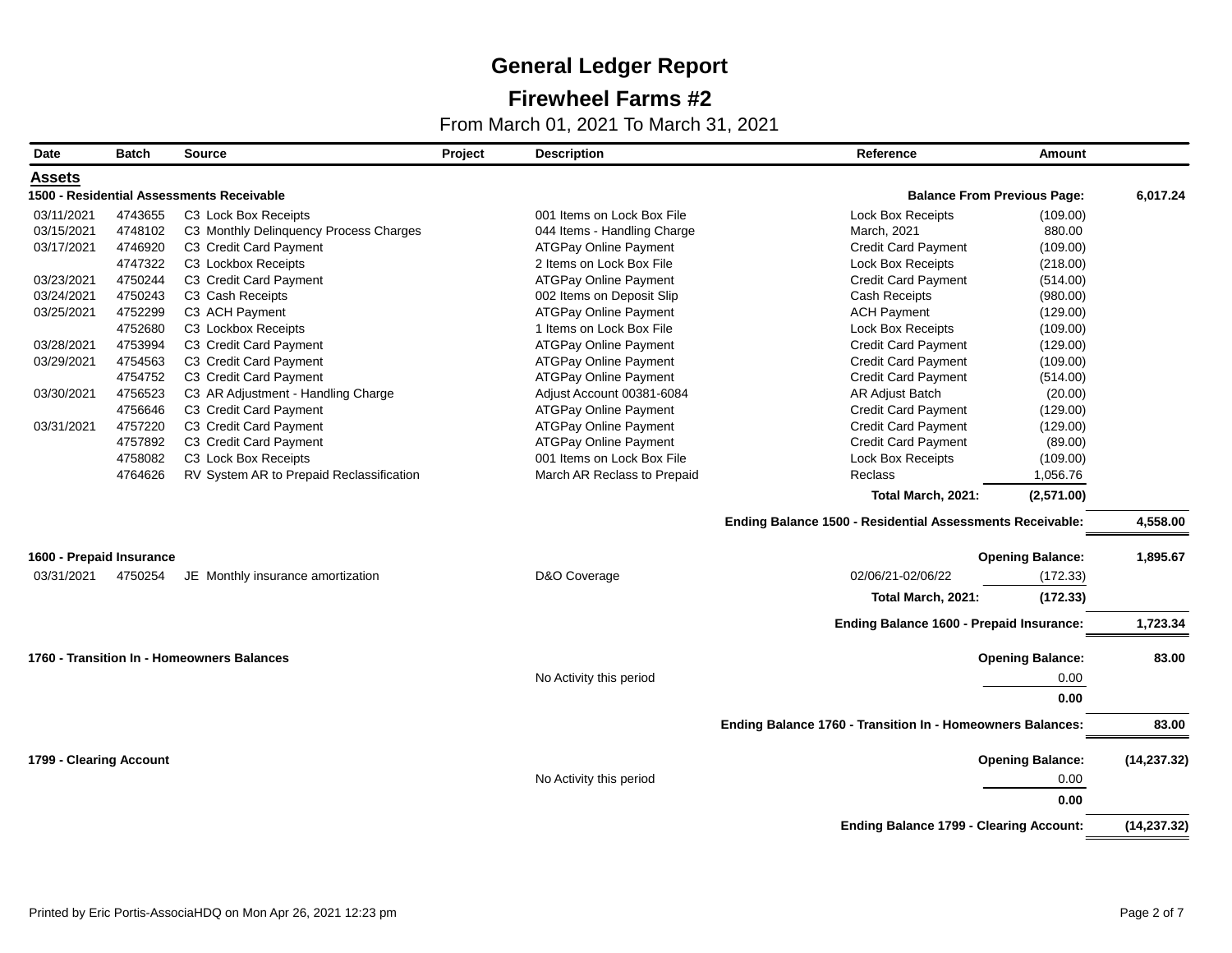## **Firewheel Farms #2**

| Date                     | <b>Batch</b> | Source                                     | Project | <b>Description</b>           | Reference                                                  | <b>Amount</b>                      |              |
|--------------------------|--------------|--------------------------------------------|---------|------------------------------|------------------------------------------------------------|------------------------------------|--------------|
| <b>Assets</b>            |              |                                            |         |                              |                                                            |                                    |              |
|                          |              | 1500 - Residential Assessments Receivable  |         |                              |                                                            | <b>Balance From Previous Page:</b> | 6,017.24     |
| 03/11/2021               | 4743655      | C3 Lock Box Receipts                       |         | 001 Items on Lock Box File   | <b>Lock Box Receipts</b>                                   | (109.00)                           |              |
| 03/15/2021               | 4748102      | C3 Monthly Delinquency Process Charges     |         | 044 Items - Handling Charge  | March, 2021                                                | 880.00                             |              |
| 03/17/2021               | 4746920      | C3 Credit Card Payment                     |         | <b>ATGPay Online Payment</b> | <b>Credit Card Payment</b>                                 | (109.00)                           |              |
|                          | 4747322      | C3 Lockbox Receipts                        |         | 2 Items on Lock Box File     | Lock Box Receipts                                          | (218.00)                           |              |
| 03/23/2021               | 4750244      | C3 Credit Card Payment                     |         | <b>ATGPay Online Payment</b> | <b>Credit Card Payment</b>                                 | (514.00)                           |              |
| 03/24/2021               | 4750243      | C3 Cash Receipts                           |         | 002 Items on Deposit Slip    | Cash Receipts                                              | (980.00)                           |              |
| 03/25/2021               | 4752299      | C3 ACH Payment                             |         | <b>ATGPay Online Payment</b> | <b>ACH Payment</b>                                         | (129.00)                           |              |
|                          | 4752680      | C3 Lockbox Receipts                        |         | 1 Items on Lock Box File     | Lock Box Receipts                                          | (109.00)                           |              |
| 03/28/2021               | 4753994      | C3 Credit Card Payment                     |         | ATGPay Online Payment        | <b>Credit Card Payment</b>                                 | (129.00)                           |              |
| 03/29/2021               | 4754563      | C3 Credit Card Payment                     |         | <b>ATGPay Online Payment</b> | <b>Credit Card Payment</b>                                 | (109.00)                           |              |
|                          | 4754752      | C3 Credit Card Payment                     |         | ATGPay Online Payment        | <b>Credit Card Payment</b>                                 | (514.00)                           |              |
| 03/30/2021               | 4756523      | C3 AR Adjustment - Handling Charge         |         | Adjust Account 00381-6084    | AR Adjust Batch                                            | (20.00)                            |              |
|                          | 4756646      | C3 Credit Card Payment                     |         | <b>ATGPay Online Payment</b> | <b>Credit Card Payment</b>                                 | (129.00)                           |              |
| 03/31/2021               | 4757220      | C3 Credit Card Payment                     |         | <b>ATGPay Online Payment</b> | <b>Credit Card Payment</b>                                 | (129.00)                           |              |
|                          | 4757892      | C3 Credit Card Payment                     |         | <b>ATGPay Online Payment</b> | <b>Credit Card Payment</b>                                 | (89.00)                            |              |
|                          | 4758082      | C3 Lock Box Receipts                       |         | 001 Items on Lock Box File   | <b>Lock Box Receipts</b>                                   | (109.00)                           |              |
|                          | 4764626      | RV System AR to Prepaid Reclassification   |         | March AR Reclass to Prepaid  | Reclass                                                    | 1,056.76                           |              |
|                          |              |                                            |         |                              | Total March, 2021:                                         | (2,571.00)                         |              |
|                          |              |                                            |         |                              | Ending Balance 1500 - Residential Assessments Receivable:  |                                    | 4,558.00     |
| 1600 - Prepaid Insurance |              |                                            |         |                              |                                                            | <b>Opening Balance:</b>            | 1,895.67     |
| 03/31/2021               | 4750254      | JE Monthly insurance amortization          |         | D&O Coverage                 | 02/06/21-02/06/22                                          | (172.33)                           |              |
|                          |              |                                            |         |                              | Total March, 2021:                                         | (172.33)                           |              |
|                          |              |                                            |         |                              | Ending Balance 1600 - Prepaid Insurance:                   |                                    | 1,723.34     |
|                          |              |                                            |         |                              |                                                            |                                    |              |
|                          |              | 1760 - Transition In - Homeowners Balances |         |                              |                                                            | <b>Opening Balance:</b>            | 83.00        |
|                          |              |                                            |         | No Activity this period      |                                                            | 0.00                               |              |
|                          |              |                                            |         |                              |                                                            | 0.00                               |              |
|                          |              |                                            |         |                              |                                                            |                                    | 83.00        |
|                          |              |                                            |         |                              | Ending Balance 1760 - Transition In - Homeowners Balances: |                                    |              |
| 1799 - Clearing Account  |              |                                            |         |                              |                                                            | <b>Opening Balance:</b>            | (14, 237.32) |
|                          |              |                                            |         | No Activity this period      |                                                            | 0.00                               |              |
|                          |              |                                            |         |                              |                                                            | 0.00                               |              |
|                          |              |                                            |         |                              | <b>Ending Balance 1799 - Clearing Account:</b>             |                                    | (14, 237.32) |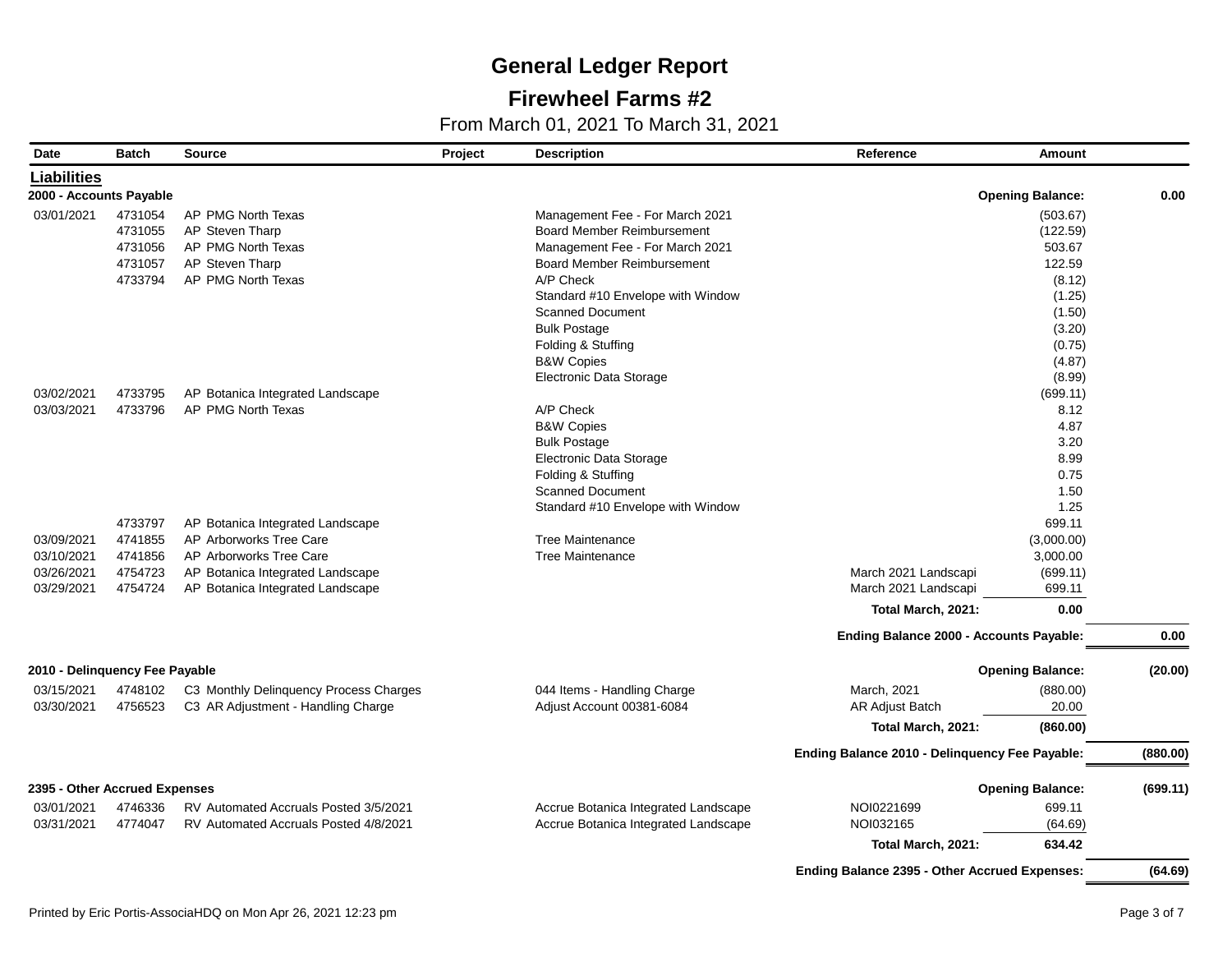## **Firewheel Farms #2**

| Date                           | <b>Batch</b>       | <b>Source</b>                                               | Project | <b>Description</b>                   | Reference                                            | <b>Amount</b>           |          |
|--------------------------------|--------------------|-------------------------------------------------------------|---------|--------------------------------------|------------------------------------------------------|-------------------------|----------|
| <b>Liabilities</b>             |                    |                                                             |         |                                      |                                                      |                         |          |
| 2000 - Accounts Payable        |                    |                                                             |         |                                      |                                                      | <b>Opening Balance:</b> | 0.00     |
| 03/01/2021                     | 4731054            | AP PMG North Texas                                          |         | Management Fee - For March 2021      |                                                      | (503.67)                |          |
|                                | 4731055            | AP Steven Tharp                                             |         | <b>Board Member Reimbursement</b>    |                                                      | (122.59)                |          |
|                                | 4731056            | AP PMG North Texas                                          |         | Management Fee - For March 2021      |                                                      | 503.67                  |          |
|                                | 4731057            | AP Steven Tharp                                             |         | <b>Board Member Reimbursement</b>    |                                                      | 122.59                  |          |
|                                | 4733794            | AP PMG North Texas                                          |         | A/P Check                            |                                                      | (8.12)                  |          |
|                                |                    |                                                             |         | Standard #10 Envelope with Window    |                                                      | (1.25)                  |          |
|                                |                    |                                                             |         | <b>Scanned Document</b>              |                                                      | (1.50)                  |          |
|                                |                    |                                                             |         | <b>Bulk Postage</b>                  |                                                      | (3.20)                  |          |
|                                |                    |                                                             |         | Folding & Stuffing                   |                                                      | (0.75)                  |          |
|                                |                    |                                                             |         | <b>B&amp;W Copies</b>                |                                                      | (4.87)                  |          |
|                                |                    |                                                             |         | Electronic Data Storage              |                                                      | (8.99)                  |          |
| 03/02/2021                     | 4733795            | AP Botanica Integrated Landscape                            |         |                                      |                                                      | (699.11)                |          |
| 03/03/2021                     | 4733796            | AP PMG North Texas                                          |         | A/P Check                            |                                                      | 8.12                    |          |
|                                |                    |                                                             |         | <b>B&amp;W Copies</b>                |                                                      | 4.87                    |          |
|                                |                    |                                                             |         | <b>Bulk Postage</b>                  |                                                      | 3.20                    |          |
|                                |                    |                                                             |         | Electronic Data Storage              |                                                      | 8.99                    |          |
|                                |                    |                                                             |         | Folding & Stuffing                   |                                                      | 0.75                    |          |
|                                |                    |                                                             |         | <b>Scanned Document</b>              |                                                      | 1.50                    |          |
|                                |                    |                                                             |         | Standard #10 Envelope with Window    |                                                      | 1.25<br>699.11          |          |
| 03/09/2021                     | 4733797<br>4741855 | AP Botanica Integrated Landscape<br>AP Arborworks Tree Care |         | <b>Tree Maintenance</b>              |                                                      | (3,000.00)              |          |
| 03/10/2021                     | 4741856            | AP Arborworks Tree Care                                     |         | <b>Tree Maintenance</b>              |                                                      | 3,000.00                |          |
| 03/26/2021                     | 4754723            | AP Botanica Integrated Landscape                            |         |                                      | March 2021 Landscapi                                 | (699.11)                |          |
| 03/29/2021                     | 4754724            | AP Botanica Integrated Landscape                            |         |                                      | March 2021 Landscapi                                 | 699.11                  |          |
|                                |                    |                                                             |         |                                      |                                                      | 0.00                    |          |
|                                |                    |                                                             |         |                                      | Total March, 2021:                                   |                         |          |
|                                |                    |                                                             |         |                                      | Ending Balance 2000 - Accounts Payable:              |                         | 0.00     |
| 2010 - Delinquency Fee Payable |                    |                                                             |         |                                      |                                                      | <b>Opening Balance:</b> | (20.00)  |
| 03/15/2021                     | 4748102            | C3 Monthly Delinquency Process Charges                      |         | 044 Items - Handling Charge          | March, 2021                                          | (880.00)                |          |
| 03/30/2021                     | 4756523            | C3 AR Adjustment - Handling Charge                          |         | Adjust Account 00381-6084            | AR Adjust Batch                                      | 20.00                   |          |
|                                |                    |                                                             |         |                                      | Total March, 2021:                                   | (860.00)                |          |
|                                |                    |                                                             |         |                                      |                                                      |                         |          |
|                                |                    |                                                             |         |                                      | Ending Balance 2010 - Delinquency Fee Payable:       |                         | (880.00) |
| 2395 - Other Accrued Expenses  |                    |                                                             |         |                                      |                                                      | <b>Opening Balance:</b> | (699.11) |
| 03/01/2021                     | 4746336            | RV Automated Accruals Posted 3/5/2021                       |         | Accrue Botanica Integrated Landscape | NOI0221699                                           | 699.11                  |          |
| 03/31/2021                     | 4774047            | RV Automated Accruals Posted 4/8/2021                       |         | Accrue Botanica Integrated Landscape | NOI032165                                            | (64.69)                 |          |
|                                |                    |                                                             |         |                                      | Total March, 2021:                                   | 634.42                  |          |
|                                |                    |                                                             |         |                                      | <b>Ending Balance 2395 - Other Accrued Expenses:</b> |                         | (64.69)  |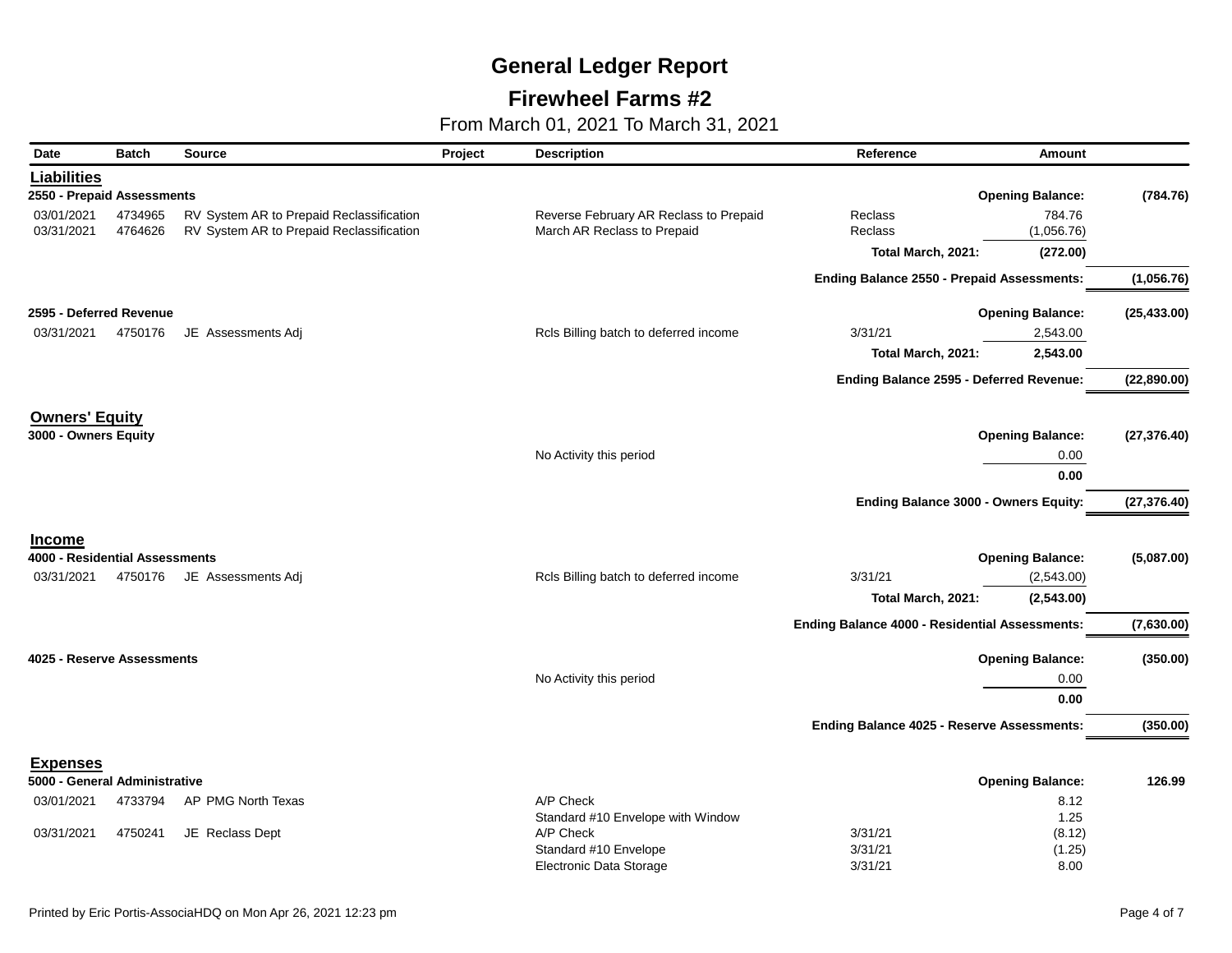## **Firewheel Farms #2**

| <b>Liabilities</b><br>2550 - Prepaid Assessments<br><b>Opening Balance:</b><br>4734965<br>784.76<br>03/01/2021<br>RV System AR to Prepaid Reclassification<br>Reverse February AR Reclass to Prepaid<br>Reclass<br>03/31/2021<br>4764626<br>RV System AR to Prepaid Reclassification<br>March AR Reclass to Prepaid<br>Reclass<br>(1,056.76)<br>Total March, 2021:<br>(272.00)<br>(1,056.76)<br>Ending Balance 2550 - Prepaid Assessments:<br>2595 - Deferred Revenue<br><b>Opening Balance:</b><br>(25, 433.00)<br>JE Assessments Adj<br>03/31/2021<br>4750176<br>Rcls Billing batch to deferred income<br>3/31/21<br>2,543.00<br>2,543.00<br>Total March, 2021:<br>Ending Balance 2595 - Deferred Revenue:<br>(22,890.00)<br><b>Owners' Equity</b><br>3000 - Owners Equity<br><b>Opening Balance:</b><br>No Activity this period<br>0.00<br>0.00<br>Ending Balance 3000 - Owners Equity:<br>(27, 376.40)<br><b>Income</b><br>4000 - Residential Assessments<br><b>Opening Balance:</b><br>JE Assessments Adj<br>Rcls Billing batch to deferred income<br>3/31/21<br>(2,543.00)<br>03/31/2021<br>4750176<br>(2,543.00)<br>Total March, 2021:<br><b>Ending Balance 4000 - Residential Assessments:</b><br>(7,630.00)<br><b>Opening Balance:</b><br>4025 - Reserve Assessments<br>No Activity this period<br>0.00<br>0.00<br>Ending Balance 4025 - Reserve Assessments:<br>(350.00)<br><b>Expenses</b><br><b>Opening Balance:</b><br>126.99<br>5000 - General Administrative<br>AP PMG North Texas<br>A/P Check<br>4733794<br>8.12<br>03/01/2021<br>Standard #10 Envelope with Window<br>1.25<br>03/31/2021<br>A/P Check<br>3/31/21<br>(8.12)<br>4750241<br>JE Reclass Dept<br>3/31/21<br>Standard #10 Envelope<br>(1.25) | Date | <b>Batch</b> | <b>Source</b> | Project | <b>Description</b>             | Reference | <b>Amount</b> |              |
|--------------------------------------------------------------------------------------------------------------------------------------------------------------------------------------------------------------------------------------------------------------------------------------------------------------------------------------------------------------------------------------------------------------------------------------------------------------------------------------------------------------------------------------------------------------------------------------------------------------------------------------------------------------------------------------------------------------------------------------------------------------------------------------------------------------------------------------------------------------------------------------------------------------------------------------------------------------------------------------------------------------------------------------------------------------------------------------------------------------------------------------------------------------------------------------------------------------------------------------------------------------------------------------------------------------------------------------------------------------------------------------------------------------------------------------------------------------------------------------------------------------------------------------------------------------------------------------------------------------------------------------------------------------------------------------------------------------------------|------|--------------|---------------|---------|--------------------------------|-----------|---------------|--------------|
|                                                                                                                                                                                                                                                                                                                                                                                                                                                                                                                                                                                                                                                                                                                                                                                                                                                                                                                                                                                                                                                                                                                                                                                                                                                                                                                                                                                                                                                                                                                                                                                                                                                                                                                          |      |              |               |         |                                |           |               |              |
|                                                                                                                                                                                                                                                                                                                                                                                                                                                                                                                                                                                                                                                                                                                                                                                                                                                                                                                                                                                                                                                                                                                                                                                                                                                                                                                                                                                                                                                                                                                                                                                                                                                                                                                          |      |              |               |         |                                |           |               | (784.76)     |
|                                                                                                                                                                                                                                                                                                                                                                                                                                                                                                                                                                                                                                                                                                                                                                                                                                                                                                                                                                                                                                                                                                                                                                                                                                                                                                                                                                                                                                                                                                                                                                                                                                                                                                                          |      |              |               |         |                                |           |               |              |
|                                                                                                                                                                                                                                                                                                                                                                                                                                                                                                                                                                                                                                                                                                                                                                                                                                                                                                                                                                                                                                                                                                                                                                                                                                                                                                                                                                                                                                                                                                                                                                                                                                                                                                                          |      |              |               |         |                                |           |               |              |
|                                                                                                                                                                                                                                                                                                                                                                                                                                                                                                                                                                                                                                                                                                                                                                                                                                                                                                                                                                                                                                                                                                                                                                                                                                                                                                                                                                                                                                                                                                                                                                                                                                                                                                                          |      |              |               |         |                                |           |               |              |
|                                                                                                                                                                                                                                                                                                                                                                                                                                                                                                                                                                                                                                                                                                                                                                                                                                                                                                                                                                                                                                                                                                                                                                                                                                                                                                                                                                                                                                                                                                                                                                                                                                                                                                                          |      |              |               |         |                                |           |               |              |
|                                                                                                                                                                                                                                                                                                                                                                                                                                                                                                                                                                                                                                                                                                                                                                                                                                                                                                                                                                                                                                                                                                                                                                                                                                                                                                                                                                                                                                                                                                                                                                                                                                                                                                                          |      |              |               |         |                                |           |               |              |
|                                                                                                                                                                                                                                                                                                                                                                                                                                                                                                                                                                                                                                                                                                                                                                                                                                                                                                                                                                                                                                                                                                                                                                                                                                                                                                                                                                                                                                                                                                                                                                                                                                                                                                                          |      |              |               |         |                                |           |               |              |
|                                                                                                                                                                                                                                                                                                                                                                                                                                                                                                                                                                                                                                                                                                                                                                                                                                                                                                                                                                                                                                                                                                                                                                                                                                                                                                                                                                                                                                                                                                                                                                                                                                                                                                                          |      |              |               |         |                                |           |               |              |
|                                                                                                                                                                                                                                                                                                                                                                                                                                                                                                                                                                                                                                                                                                                                                                                                                                                                                                                                                                                                                                                                                                                                                                                                                                                                                                                                                                                                                                                                                                                                                                                                                                                                                                                          |      |              |               |         |                                |           |               |              |
|                                                                                                                                                                                                                                                                                                                                                                                                                                                                                                                                                                                                                                                                                                                                                                                                                                                                                                                                                                                                                                                                                                                                                                                                                                                                                                                                                                                                                                                                                                                                                                                                                                                                                                                          |      |              |               |         |                                |           |               |              |
|                                                                                                                                                                                                                                                                                                                                                                                                                                                                                                                                                                                                                                                                                                                                                                                                                                                                                                                                                                                                                                                                                                                                                                                                                                                                                                                                                                                                                                                                                                                                                                                                                                                                                                                          |      |              |               |         |                                |           |               | (27, 376.40) |
|                                                                                                                                                                                                                                                                                                                                                                                                                                                                                                                                                                                                                                                                                                                                                                                                                                                                                                                                                                                                                                                                                                                                                                                                                                                                                                                                                                                                                                                                                                                                                                                                                                                                                                                          |      |              |               |         |                                |           |               |              |
|                                                                                                                                                                                                                                                                                                                                                                                                                                                                                                                                                                                                                                                                                                                                                                                                                                                                                                                                                                                                                                                                                                                                                                                                                                                                                                                                                                                                                                                                                                                                                                                                                                                                                                                          |      |              |               |         |                                |           |               |              |
|                                                                                                                                                                                                                                                                                                                                                                                                                                                                                                                                                                                                                                                                                                                                                                                                                                                                                                                                                                                                                                                                                                                                                                                                                                                                                                                                                                                                                                                                                                                                                                                                                                                                                                                          |      |              |               |         |                                |           |               |              |
|                                                                                                                                                                                                                                                                                                                                                                                                                                                                                                                                                                                                                                                                                                                                                                                                                                                                                                                                                                                                                                                                                                                                                                                                                                                                                                                                                                                                                                                                                                                                                                                                                                                                                                                          |      |              |               |         |                                |           |               |              |
|                                                                                                                                                                                                                                                                                                                                                                                                                                                                                                                                                                                                                                                                                                                                                                                                                                                                                                                                                                                                                                                                                                                                                                                                                                                                                                                                                                                                                                                                                                                                                                                                                                                                                                                          |      |              |               |         |                                |           |               | (5,087.00)   |
|                                                                                                                                                                                                                                                                                                                                                                                                                                                                                                                                                                                                                                                                                                                                                                                                                                                                                                                                                                                                                                                                                                                                                                                                                                                                                                                                                                                                                                                                                                                                                                                                                                                                                                                          |      |              |               |         |                                |           |               |              |
|                                                                                                                                                                                                                                                                                                                                                                                                                                                                                                                                                                                                                                                                                                                                                                                                                                                                                                                                                                                                                                                                                                                                                                                                                                                                                                                                                                                                                                                                                                                                                                                                                                                                                                                          |      |              |               |         |                                |           |               |              |
|                                                                                                                                                                                                                                                                                                                                                                                                                                                                                                                                                                                                                                                                                                                                                                                                                                                                                                                                                                                                                                                                                                                                                                                                                                                                                                                                                                                                                                                                                                                                                                                                                                                                                                                          |      |              |               |         |                                |           |               |              |
|                                                                                                                                                                                                                                                                                                                                                                                                                                                                                                                                                                                                                                                                                                                                                                                                                                                                                                                                                                                                                                                                                                                                                                                                                                                                                                                                                                                                                                                                                                                                                                                                                                                                                                                          |      |              |               |         |                                |           |               | (350.00)     |
|                                                                                                                                                                                                                                                                                                                                                                                                                                                                                                                                                                                                                                                                                                                                                                                                                                                                                                                                                                                                                                                                                                                                                                                                                                                                                                                                                                                                                                                                                                                                                                                                                                                                                                                          |      |              |               |         |                                |           |               |              |
|                                                                                                                                                                                                                                                                                                                                                                                                                                                                                                                                                                                                                                                                                                                                                                                                                                                                                                                                                                                                                                                                                                                                                                                                                                                                                                                                                                                                                                                                                                                                                                                                                                                                                                                          |      |              |               |         |                                |           |               |              |
|                                                                                                                                                                                                                                                                                                                                                                                                                                                                                                                                                                                                                                                                                                                                                                                                                                                                                                                                                                                                                                                                                                                                                                                                                                                                                                                                                                                                                                                                                                                                                                                                                                                                                                                          |      |              |               |         |                                |           |               |              |
|                                                                                                                                                                                                                                                                                                                                                                                                                                                                                                                                                                                                                                                                                                                                                                                                                                                                                                                                                                                                                                                                                                                                                                                                                                                                                                                                                                                                                                                                                                                                                                                                                                                                                                                          |      |              |               |         |                                |           |               |              |
|                                                                                                                                                                                                                                                                                                                                                                                                                                                                                                                                                                                                                                                                                                                                                                                                                                                                                                                                                                                                                                                                                                                                                                                                                                                                                                                                                                                                                                                                                                                                                                                                                                                                                                                          |      |              |               |         |                                |           |               |              |
|                                                                                                                                                                                                                                                                                                                                                                                                                                                                                                                                                                                                                                                                                                                                                                                                                                                                                                                                                                                                                                                                                                                                                                                                                                                                                                                                                                                                                                                                                                                                                                                                                                                                                                                          |      |              |               |         |                                |           |               |              |
|                                                                                                                                                                                                                                                                                                                                                                                                                                                                                                                                                                                                                                                                                                                                                                                                                                                                                                                                                                                                                                                                                                                                                                                                                                                                                                                                                                                                                                                                                                                                                                                                                                                                                                                          |      |              |               |         |                                |           |               |              |
|                                                                                                                                                                                                                                                                                                                                                                                                                                                                                                                                                                                                                                                                                                                                                                                                                                                                                                                                                                                                                                                                                                                                                                                                                                                                                                                                                                                                                                                                                                                                                                                                                                                                                                                          |      |              |               |         |                                |           |               |              |
|                                                                                                                                                                                                                                                                                                                                                                                                                                                                                                                                                                                                                                                                                                                                                                                                                                                                                                                                                                                                                                                                                                                                                                                                                                                                                                                                                                                                                                                                                                                                                                                                                                                                                                                          |      |              |               |         | <b>Electronic Data Storage</b> | 3/31/21   | 8.00          |              |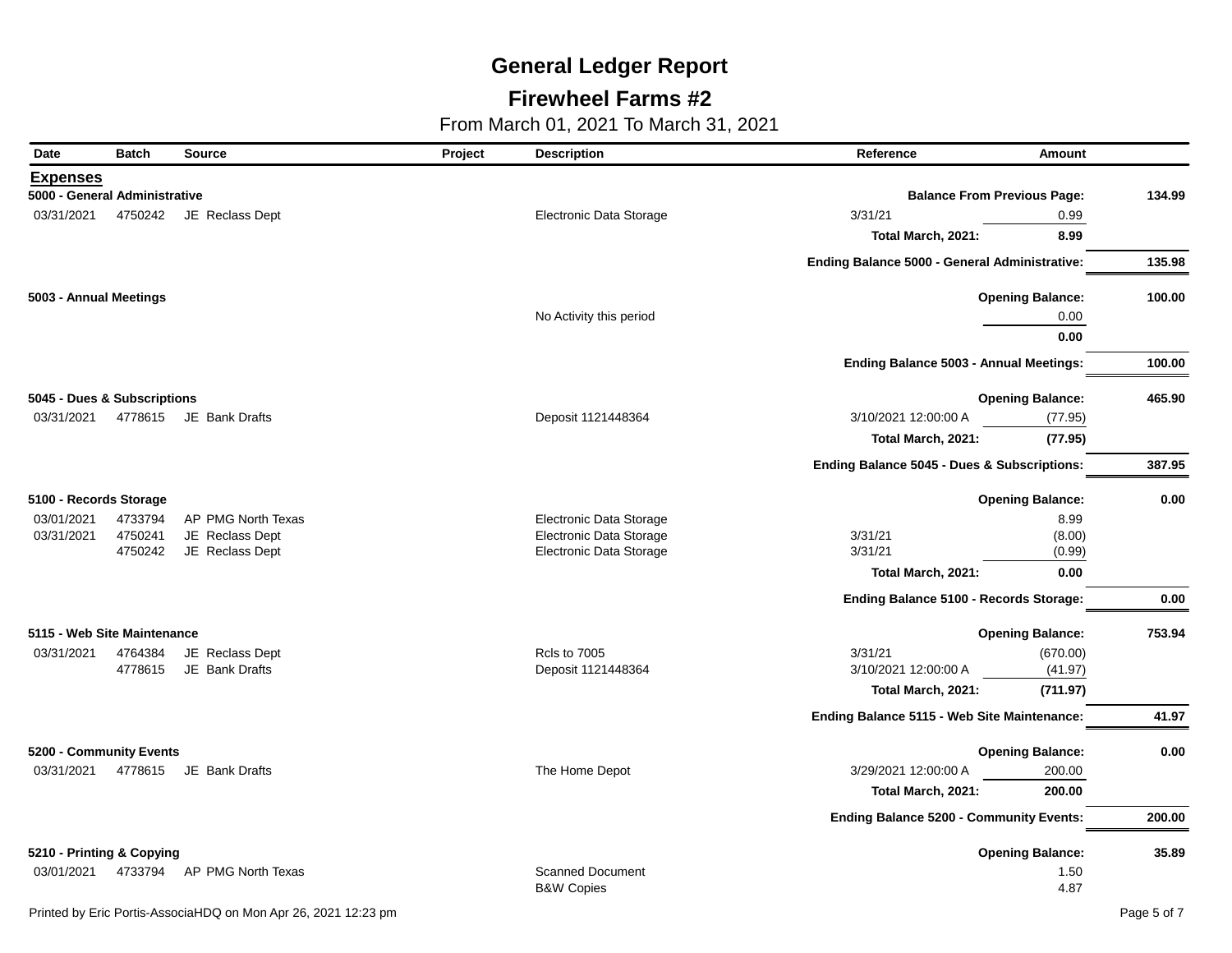## **Firewheel Farms #2**

| Date                          | <b>Batch</b> | <b>Source</b>          | Project | <b>Description</b>      | Reference                                      | Amount                  |        |
|-------------------------------|--------------|------------------------|---------|-------------------------|------------------------------------------------|-------------------------|--------|
| <b>Expenses</b>               |              |                        |         |                         |                                                |                         |        |
| 5000 - General Administrative |              |                        |         |                         | <b>Balance From Previous Page:</b>             |                         | 134.99 |
| 03/31/2021                    | 4750242      | JE Reclass Dept        |         | Electronic Data Storage | 3/31/21                                        | 0.99                    |        |
|                               |              |                        |         |                         | Total March, 2021:                             | 8.99                    |        |
|                               |              |                        |         |                         | Ending Balance 5000 - General Administrative:  |                         | 135.98 |
| 5003 - Annual Meetings        |              |                        |         |                         |                                                | <b>Opening Balance:</b> | 100.00 |
|                               |              |                        |         | No Activity this period |                                                | 0.00                    |        |
|                               |              |                        |         |                         |                                                | 0.00                    |        |
|                               |              |                        |         |                         | Ending Balance 5003 - Annual Meetings:         |                         | 100.00 |
| 5045 - Dues & Subscriptions   |              |                        |         |                         |                                                | <b>Opening Balance:</b> | 465.90 |
| 03/31/2021                    |              | 4778615 JE Bank Drafts |         | Deposit 1121448364      | 3/10/2021 12:00:00 A                           | (77.95)                 |        |
|                               |              |                        |         |                         | Total March, 2021:                             | (77.95)                 |        |
|                               |              |                        |         |                         | Ending Balance 5045 - Dues & Subscriptions:    |                         | 387.95 |
| 5100 - Records Storage        |              |                        |         |                         |                                                | <b>Opening Balance:</b> | 0.00   |
| 03/01/2021                    | 4733794      | AP PMG North Texas     |         | Electronic Data Storage |                                                | 8.99                    |        |
| 03/31/2021                    | 4750241      | JE Reclass Dept        |         | Electronic Data Storage | 3/31/21                                        | (8.00)                  |        |
|                               | 4750242      | JE Reclass Dept        |         | Electronic Data Storage | 3/31/21                                        | (0.99)                  |        |
|                               |              |                        |         |                         | Total March, 2021:                             | 0.00                    |        |
|                               |              |                        |         |                         | Ending Balance 5100 - Records Storage:         |                         | 0.00   |
| 5115 - Web Site Maintenance   |              |                        |         |                         |                                                | <b>Opening Balance:</b> | 753.94 |
| 03/31/2021                    | 4764384      | JE Reclass Dept        |         | <b>Rcls to 7005</b>     | 3/31/21                                        | (670.00)                |        |
|                               | 4778615      | JE Bank Drafts         |         | Deposit 1121448364      | 3/10/2021 12:00:00 A                           | (41.97)                 |        |
|                               |              |                        |         |                         | Total March, 2021:                             | (711.97)                |        |
|                               |              |                        |         |                         | Ending Balance 5115 - Web Site Maintenance:    |                         | 41.97  |
| 5200 - Community Events       |              |                        |         |                         |                                                | <b>Opening Balance:</b> | 0.00   |
| 03/31/2021                    |              | 4778615 JE Bank Drafts |         | The Home Depot          | 3/29/2021 12:00:00 A                           | 200.00                  |        |
|                               |              |                        |         |                         | Total March, 2021:                             | 200.00                  |        |
|                               |              |                        |         |                         | <b>Ending Balance 5200 - Community Events:</b> |                         | 200.00 |
| 5210 - Printing & Copying     |              |                        |         |                         |                                                | <b>Opening Balance:</b> | 35.89  |
| 03/01/2021                    | 4733794      | AP PMG North Texas     |         | <b>Scanned Document</b> |                                                | 1.50                    |        |
|                               |              |                        |         | <b>B&amp;W Copies</b>   |                                                | 4.87                    |        |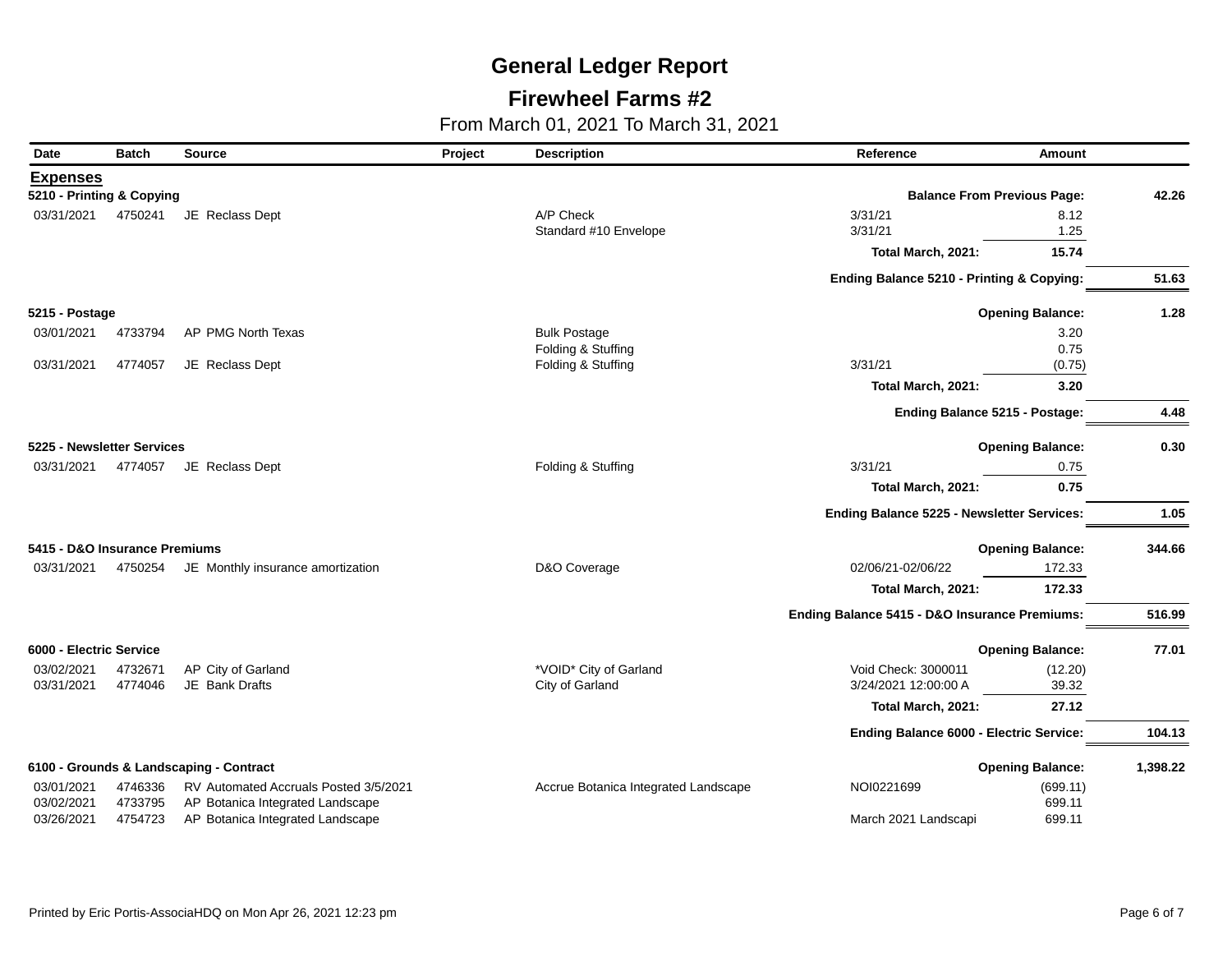## **Firewheel Farms #2**

| Date                          | <b>Batch</b> | <b>Source</b>                           | Project | <b>Description</b>                   | Reference                                     | <b>Amount</b>           |          |
|-------------------------------|--------------|-----------------------------------------|---------|--------------------------------------|-----------------------------------------------|-------------------------|----------|
| <b>Expenses</b>               |              |                                         |         |                                      |                                               |                         |          |
| 5210 - Printing & Copying     |              |                                         |         |                                      | <b>Balance From Previous Page:</b>            |                         | 42.26    |
| 03/31/2021                    | 4750241      | JE Reclass Dept                         |         | A/P Check                            | 3/31/21                                       | 8.12                    |          |
|                               |              |                                         |         | Standard #10 Envelope                | 3/31/21                                       | 1.25                    |          |
|                               |              |                                         |         |                                      | Total March, 2021:                            | 15.74                   |          |
|                               |              |                                         |         |                                      | Ending Balance 5210 - Printing & Copying:     |                         | 51.63    |
| 5215 - Postage                |              |                                         |         |                                      |                                               | <b>Opening Balance:</b> | 1.28     |
| 03/01/2021                    | 4733794      | AP PMG North Texas                      |         | <b>Bulk Postage</b>                  |                                               | 3.20                    |          |
|                               |              |                                         |         | Folding & Stuffing                   |                                               | 0.75                    |          |
| 03/31/2021                    | 4774057      | JE Reclass Dept                         |         | Folding & Stuffing                   | 3/31/21                                       | (0.75)                  |          |
|                               |              |                                         |         |                                      | Total March, 2021:                            | 3.20                    |          |
|                               |              |                                         |         |                                      | Ending Balance 5215 - Postage:                |                         | 4.48     |
| 5225 - Newsletter Services    |              |                                         |         |                                      |                                               | <b>Opening Balance:</b> | 0.30     |
| 03/31/2021                    | 4774057      | JE Reclass Dept                         |         | Folding & Stuffing                   | 3/31/21                                       | 0.75                    |          |
|                               |              |                                         |         |                                      | Total March, 2021:                            | 0.75                    |          |
|                               |              |                                         |         |                                      | Ending Balance 5225 - Newsletter Services:    |                         | 1.05     |
| 5415 - D&O Insurance Premiums |              |                                         |         |                                      |                                               | <b>Opening Balance:</b> | 344.66   |
| 03/31/2021                    | 4750254      | JE Monthly insurance amortization       |         | D&O Coverage                         | 02/06/21-02/06/22                             | 172.33                  |          |
|                               |              |                                         |         |                                      | Total March, 2021:                            | 172.33                  |          |
|                               |              |                                         |         |                                      | Ending Balance 5415 - D&O Insurance Premiums: |                         | 516.99   |
| 6000 - Electric Service       |              |                                         |         |                                      |                                               | <b>Opening Balance:</b> | 77.01    |
| 03/02/2021                    | 4732671      | AP City of Garland                      |         | *VOID* City of Garland               | Void Check: 3000011                           | (12.20)                 |          |
| 03/31/2021                    | 4774046      | <b>JE</b> Bank Drafts                   |         | City of Garland                      | 3/24/2021 12:00:00 A                          | 39.32                   |          |
|                               |              |                                         |         |                                      | Total March, 2021:                            | 27.12                   |          |
|                               |              |                                         |         |                                      | Ending Balance 6000 - Electric Service:       |                         | 104.13   |
|                               |              | 6100 - Grounds & Landscaping - Contract |         |                                      |                                               | <b>Opening Balance:</b> | 1,398.22 |
| 03/01/2021                    | 4746336      | RV Automated Accruals Posted 3/5/2021   |         | Accrue Botanica Integrated Landscape | NOI0221699                                    | (699.11)                |          |
| 03/02/2021                    | 4733795      | AP Botanica Integrated Landscape        |         |                                      |                                               | 699.11                  |          |
| 03/26/2021                    | 4754723      | AP Botanica Integrated Landscape        |         |                                      | March 2021 Landscapi                          | 699.11                  |          |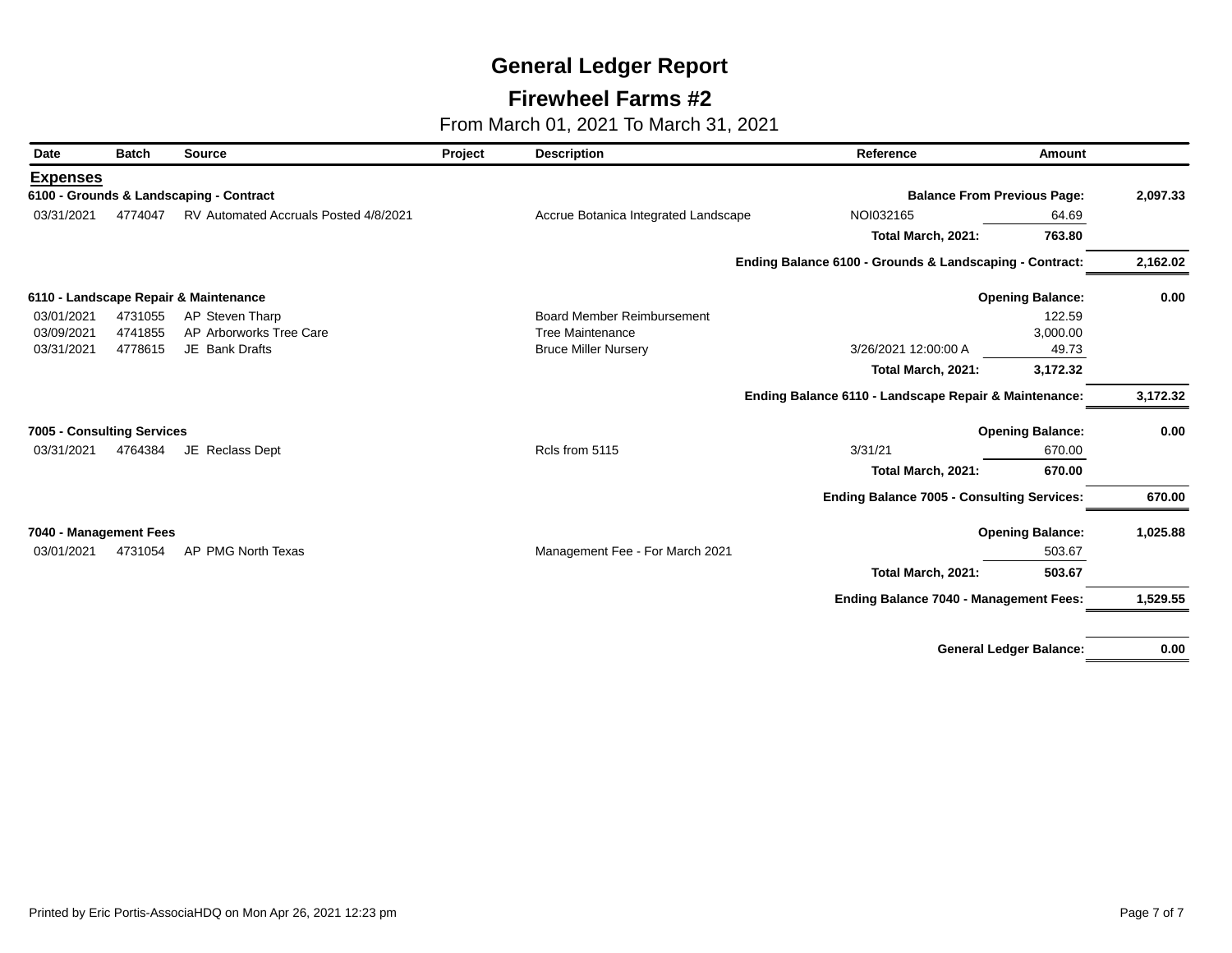## **Firewheel Farms #2**

From March 01, 2021 To March 31, 2021

| Date                       | <b>Batch</b> | <b>Source</b>                           | Project | <b>Description</b>                   | Reference                                               | <b>Amount</b>           |          |
|----------------------------|--------------|-----------------------------------------|---------|--------------------------------------|---------------------------------------------------------|-------------------------|----------|
| <b>Expenses</b>            |              |                                         |         |                                      |                                                         |                         |          |
|                            |              | 6100 - Grounds & Landscaping - Contract |         |                                      | <b>Balance From Previous Page:</b>                      |                         | 2,097.33 |
| 03/31/2021                 | 4774047      | RV Automated Accruals Posted 4/8/2021   |         | Accrue Botanica Integrated Landscape | NOI032165                                               | 64.69                   |          |
|                            |              |                                         |         |                                      | Total March, 2021:                                      | 763.80                  |          |
|                            |              |                                         |         |                                      | Ending Balance 6100 - Grounds & Landscaping - Contract: |                         | 2,162.02 |
|                            |              | 6110 - Landscape Repair & Maintenance   |         |                                      |                                                         | <b>Opening Balance:</b> | 0.00     |
| 03/01/2021                 | 4731055      | AP Steven Tharp                         |         | <b>Board Member Reimbursement</b>    |                                                         | 122.59                  |          |
| 03/09/2021                 | 4741855      | AP Arborworks Tree Care                 |         | <b>Tree Maintenance</b>              |                                                         | 3,000.00                |          |
| 03/31/2021                 | 4778615      | JE Bank Drafts                          |         | <b>Bruce Miller Nursery</b>          | 3/26/2021 12:00:00 A                                    | 49.73                   |          |
|                            |              |                                         |         |                                      | Total March, 2021:                                      | 3,172.32                |          |
|                            |              |                                         |         |                                      | Ending Balance 6110 - Landscape Repair & Maintenance:   |                         | 3,172.32 |
| 7005 - Consulting Services |              |                                         |         |                                      |                                                         | <b>Opening Balance:</b> | 0.00     |
| 03/31/2021                 | 4764384      | JE Reclass Dept                         |         | Rcls from 5115                       | 3/31/21                                                 | 670.00                  |          |
|                            |              |                                         |         |                                      | Total March, 2021:                                      | 670.00                  |          |
|                            |              |                                         |         |                                      | <b>Ending Balance 7005 - Consulting Services:</b>       |                         | 670.00   |
| 7040 - Management Fees     |              |                                         |         |                                      |                                                         | <b>Opening Balance:</b> | 1,025.88 |
| 03/01/2021                 | 4731054      | AP PMG North Texas                      |         | Management Fee - For March 2021      |                                                         | 503.67                  |          |
|                            |              |                                         |         |                                      | Total March, 2021:                                      | 503.67                  |          |
|                            |              |                                         |         |                                      | <b>Ending Balance 7040 - Management Fees:</b>           |                         | 1,529.55 |
|                            |              |                                         |         |                                      |                                                         |                         |          |
|                            |              |                                         |         |                                      |                                                         |                         |          |

**General Ledger Balance: 0.00**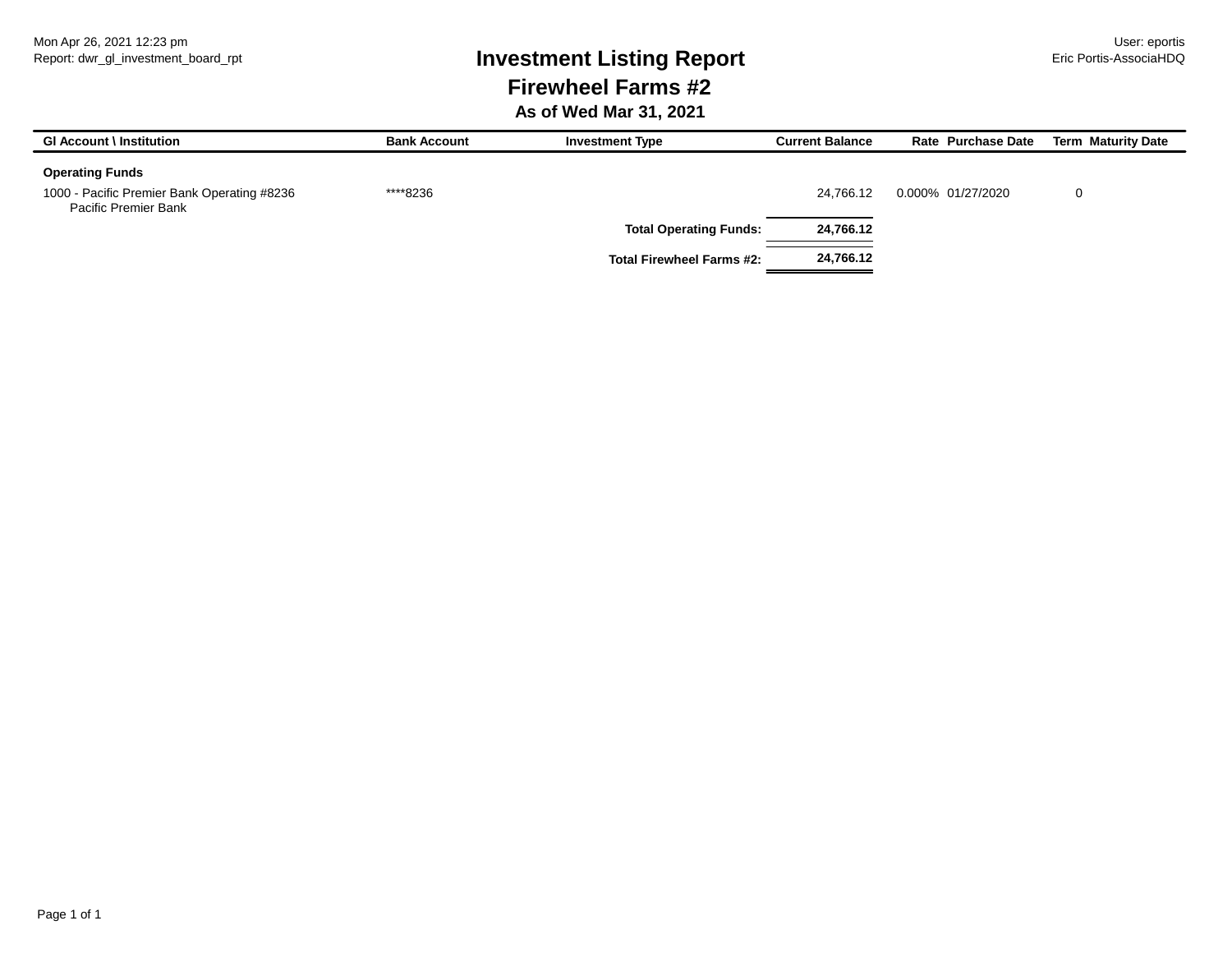# Report: dwr\_gl\_investment\_board\_rpt **Investment Listing Report** Eric Portis-AssociaHDQ **Firewheel Farms #2**

#### **As of Wed Mar 31, 2021**

| <b>GI Account \ Institution</b>                                     | <b>Bank Account</b> | <b>Investment Type</b>           | <b>Current Balance</b> | Rate Purchase Date | <b>Term Maturity Date</b> |
|---------------------------------------------------------------------|---------------------|----------------------------------|------------------------|--------------------|---------------------------|
| <b>Operating Funds</b>                                              |                     |                                  |                        |                    |                           |
| 1000 - Pacific Premier Bank Operating #8236<br>Pacific Premier Bank | ****8236            |                                  | 24.766.12              | 0.000% 01/27/2020  | 0                         |
|                                                                     |                     | <b>Total Operating Funds:</b>    | 24,766.12              |                    |                           |
|                                                                     |                     | <b>Total Firewheel Farms #2:</b> | 24,766.12              |                    |                           |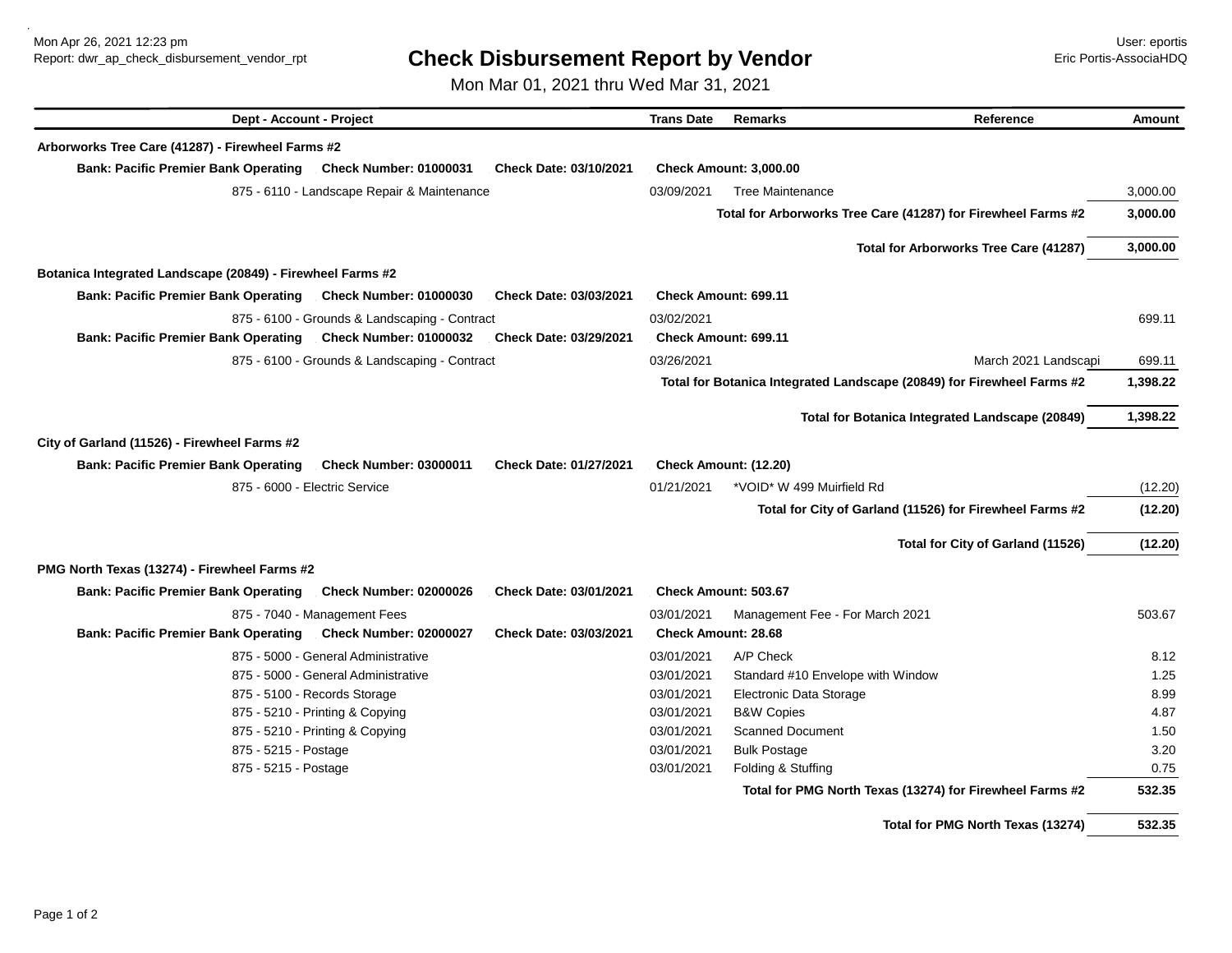Mon Apr 26, 2021 12:23 pm User: eportis

# Report: dwr\_ap\_check\_disbursement\_vendor\_rpt **Check Disbursement Report by Vendor** Eric Portis-AssociaHDQ

Mon Mar 01, 2021 thru Wed Mar 31, 2021

| Dept - Account - Project                                                                                      | <b>Trans Date</b><br><b>Remarks</b><br>Reference                       | Amount                         |
|---------------------------------------------------------------------------------------------------------------|------------------------------------------------------------------------|--------------------------------|
| Arborworks Tree Care (41287) - Firewheel Farms #2                                                             |                                                                        |                                |
| <b>Bank: Pacific Premier Bank Operating</b><br><b>Check Number: 01000031</b><br><b>Check Date: 03/10/2021</b> | <b>Check Amount: 3,000.00</b>                                          |                                |
| 875 - 6110 - Landscape Repair & Maintenance                                                                   | 03/09/2021<br><b>Tree Maintenance</b>                                  | 3,000.00                       |
|                                                                                                               | Total for Arborworks Tree Care (41287) for Firewheel Farms #2          | 3,000.00                       |
|                                                                                                               | Total for Arborworks Tree Care (41287)                                 | 3,000.00                       |
| Botanica Integrated Landscape (20849) - Firewheel Farms #2                                                    |                                                                        |                                |
| <b>Bank: Pacific Premier Bank Operating</b><br><b>Check Date: 03/03/2021</b><br><b>Check Number: 01000030</b> | <b>Check Amount: 699.11</b>                                            |                                |
| 875 - 6100 - Grounds & Landscaping - Contract                                                                 | 03/02/2021                                                             | 699.11                         |
| <b>Bank: Pacific Premier Bank Operating</b><br><b>Check Number: 01000032</b><br><b>Check Date: 03/29/2021</b> | Check Amount: 699.11                                                   |                                |
| 875 - 6100 - Grounds & Landscaping - Contract                                                                 | 03/26/2021                                                             | 699.11<br>March 2021 Landscapi |
|                                                                                                               | Total for Botanica Integrated Landscape (20849) for Firewheel Farms #2 | 1,398.22                       |
|                                                                                                               | Total for Botanica Integrated Landscape (20849)                        | 1,398.22                       |
| City of Garland (11526) - Firewheel Farms #2                                                                  |                                                                        |                                |
| <b>Bank: Pacific Premier Bank Operating</b><br>Check Date: 01/27/2021<br><b>Check Number: 03000011</b>        |                                                                        |                                |
|                                                                                                               | Check Amount: (12.20)                                                  |                                |
| 875 - 6000 - Electric Service                                                                                 | 01/21/2021<br>*VOID* W 499 Muirfield Rd                                | (12.20)                        |
|                                                                                                               | Total for City of Garland (11526) for Firewheel Farms #2               | (12.20)                        |
|                                                                                                               | Total for City of Garland (11526)                                      | (12.20)                        |
| PMG North Texas (13274) - Firewheel Farms #2                                                                  |                                                                        |                                |
| <b>Bank: Pacific Premier Bank Operating</b><br><b>Check Number: 02000026</b><br>Check Date: 03/01/2021        | Check Amount: 503.67                                                   |                                |
| 875 - 7040 - Management Fees                                                                                  | 03/01/2021<br>Management Fee - For March 2021                          | 503.67                         |
| <b>Bank: Pacific Premier Bank Operating</b><br><b>Check Number: 02000027</b><br><b>Check Date: 03/03/2021</b> | <b>Check Amount: 28.68</b>                                             |                                |
| 875 - 5000 - General Administrative                                                                           | A/P Check<br>03/01/2021                                                | 8.12                           |
| 875 - 5000 - General Administrative                                                                           | 03/01/2021<br>Standard #10 Envelope with Window                        | 1.25                           |
| 875 - 5100 - Records Storage                                                                                  | 03/01/2021<br>Electronic Data Storage                                  | 8.99                           |
| 875 - 5210 - Printing & Copying                                                                               | 03/01/2021<br><b>B&amp;W Copies</b>                                    | 4.87                           |
| 875 - 5210 - Printing & Copying                                                                               | <b>Scanned Document</b><br>03/01/2021                                  | 1.50                           |
| 875 - 5215 - Postage                                                                                          | 03/01/2021<br><b>Bulk Postage</b>                                      | 3.20                           |
| 875 - 5215 - Postage                                                                                          | Folding & Stuffing<br>03/01/2021                                       | 0.75                           |
|                                                                                                               | Total for PMG North Texas (13274) for Firewheel Farms #2               | 532.35                         |
|                                                                                                               |                                                                        |                                |

**Total for PMG North Texas (13274) 532.35**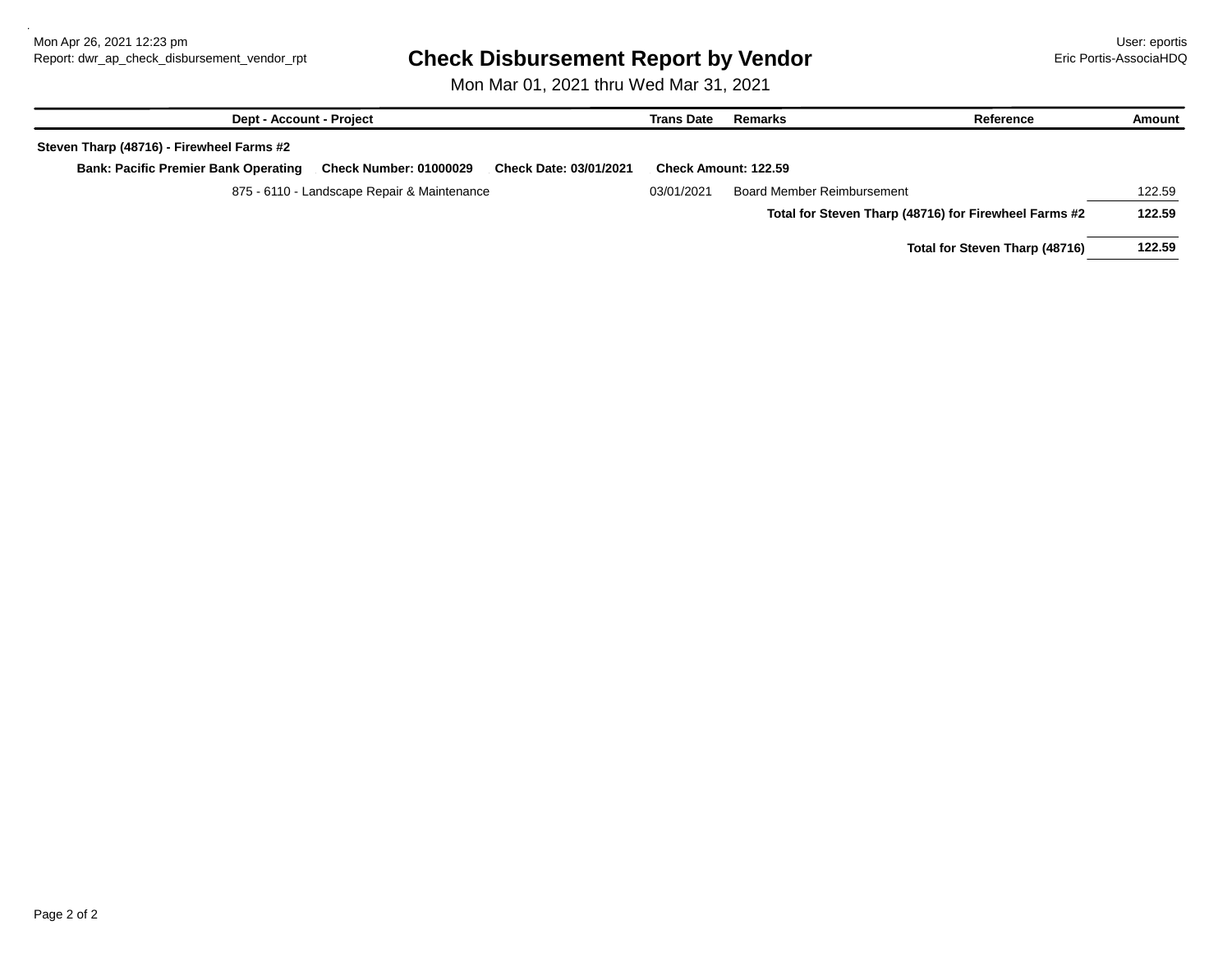## Report: dwr\_ap\_check\_disbursement\_vendor\_rpt **Check Disbursement Report by Vendor Example 19 Example 20 Example 20**

Mon Mar 01, 2021 thru Wed Mar 31, 2021

| <b>Dept - Account - Project</b>             |                                             |                               | <b>Trans Date</b> | Remarks                           | Reference                                             | Amount |
|---------------------------------------------|---------------------------------------------|-------------------------------|-------------------|-----------------------------------|-------------------------------------------------------|--------|
| Steven Tharp (48716) - Firewheel Farms #2   |                                             |                               |                   |                                   |                                                       |        |
| <b>Bank: Pacific Premier Bank Operating</b> | <b>Check Number: 01000029</b>               | <b>Check Date: 03/01/2021</b> |                   | <b>Check Amount: 122.59</b>       |                                                       |        |
|                                             | 875 - 6110 - Landscape Repair & Maintenance |                               | 03/01/2021        | <b>Board Member Reimbursement</b> |                                                       | 122.59 |
|                                             |                                             |                               |                   |                                   | Total for Steven Tharp (48716) for Firewheel Farms #2 | 122.59 |
|                                             |                                             |                               |                   |                                   | Total for Steven Tharp (48716)                        | 122.59 |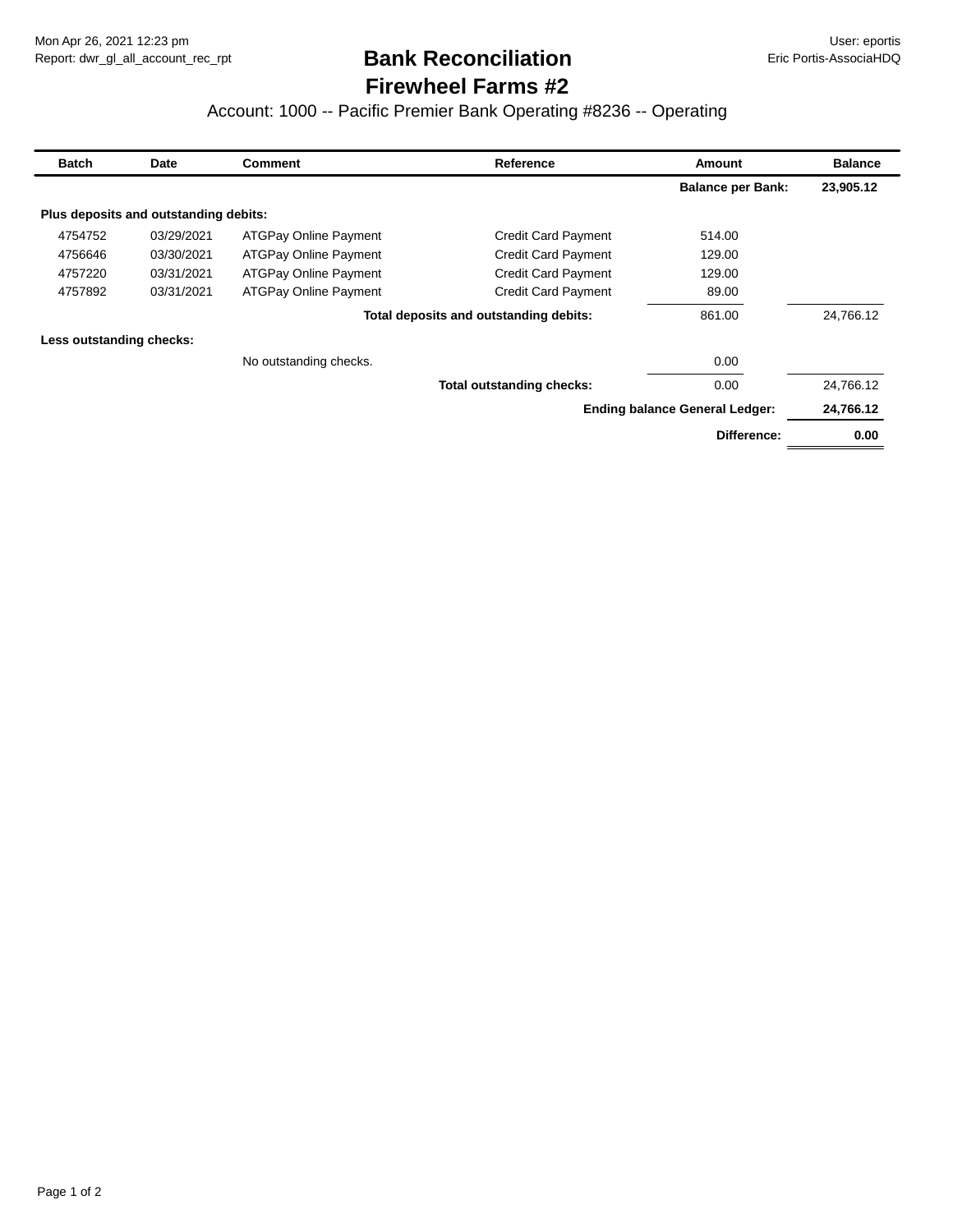# **Firewheel Farms #2 Bank Reconciliation**

#### Account: 1000 -- Pacific Premier Bank Operating #8236 -- Operating

| <b>Batch</b>             | Date                                  | <b>Comment</b>               | Reference                              | <b>Amount</b>                         | <b>Balance</b> |
|--------------------------|---------------------------------------|------------------------------|----------------------------------------|---------------------------------------|----------------|
|                          |                                       |                              |                                        | <b>Balance per Bank:</b>              | 23,905.12      |
|                          | Plus deposits and outstanding debits: |                              |                                        |                                       |                |
| 4754752                  | 03/29/2021                            | <b>ATGPay Online Payment</b> | <b>Credit Card Payment</b>             | 514.00                                |                |
| 4756646                  | 03/30/2021                            | <b>ATGPay Online Payment</b> | <b>Credit Card Payment</b>             | 129.00                                |                |
| 4757220                  | 03/31/2021                            | <b>ATGPay Online Payment</b> | <b>Credit Card Payment</b>             | 129.00                                |                |
| 4757892                  | 03/31/2021                            | <b>ATGPay Online Payment</b> | <b>Credit Card Payment</b>             | 89.00                                 |                |
|                          |                                       |                              | Total deposits and outstanding debits: | 861.00                                | 24,766.12      |
| Less outstanding checks: |                                       |                              |                                        |                                       |                |
|                          |                                       | No outstanding checks.       |                                        | 0.00                                  |                |
|                          |                                       |                              | <b>Total outstanding checks:</b>       | 0.00                                  | 24,766.12      |
|                          |                                       |                              |                                        | <b>Ending balance General Ledger:</b> | 24,766.12      |
|                          |                                       |                              |                                        | Difference:                           | 0.00           |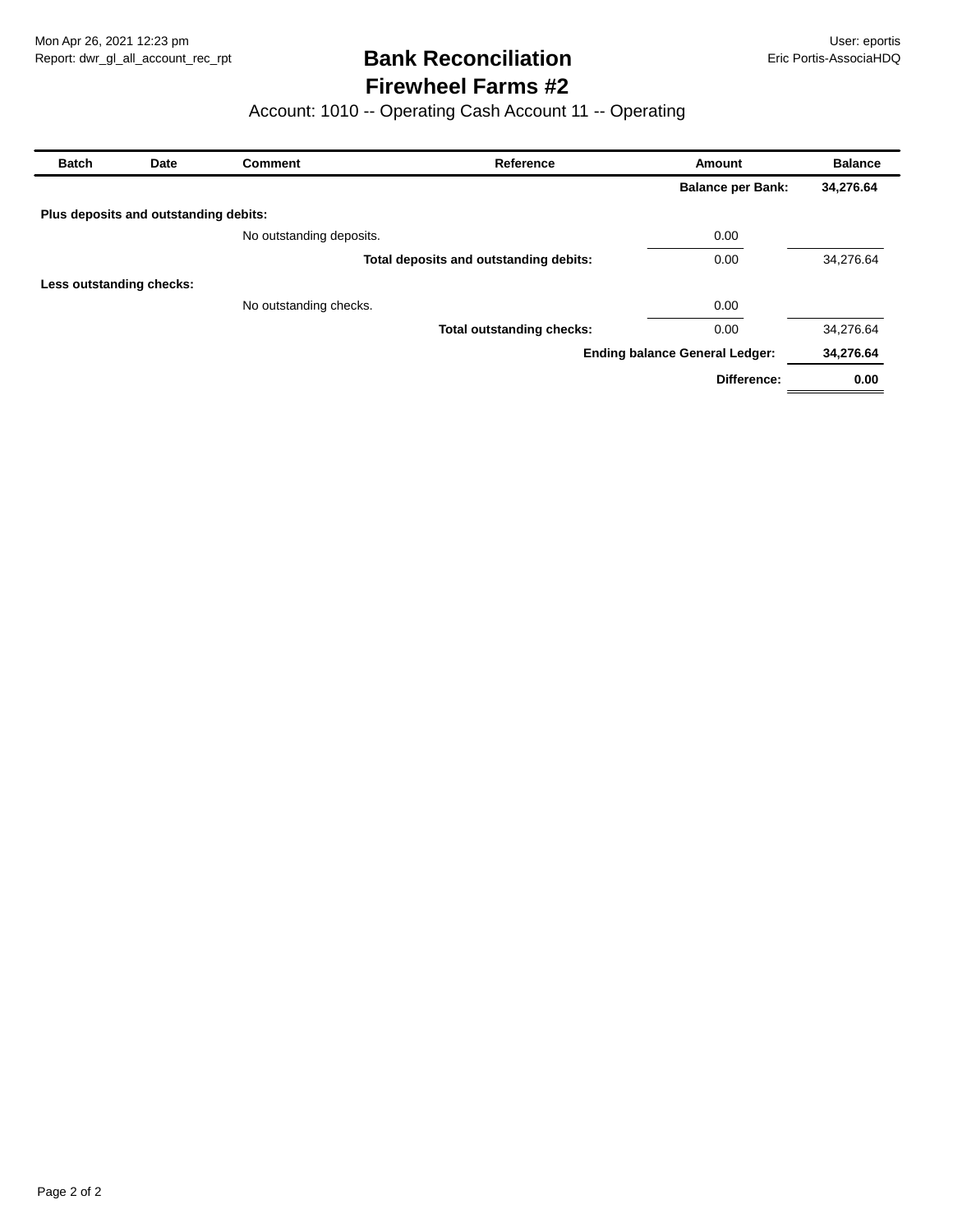## **Firewheel Farms #2 Bank Reconciliation**

## Account: 1010 -- Operating Cash Account 11 -- Operating

| <b>Batch</b>             | Date                                  | <b>Comment</b>           | Reference                              | Amount                                | <b>Balance</b> |
|--------------------------|---------------------------------------|--------------------------|----------------------------------------|---------------------------------------|----------------|
|                          |                                       |                          |                                        | <b>Balance per Bank:</b>              | 34,276.64      |
|                          | Plus deposits and outstanding debits: |                          |                                        |                                       |                |
|                          |                                       | No outstanding deposits. |                                        | 0.00                                  |                |
|                          |                                       |                          | Total deposits and outstanding debits: | 0.00                                  | 34,276.64      |
| Less outstanding checks: |                                       |                          |                                        |                                       |                |
|                          |                                       | No outstanding checks.   |                                        | 0.00                                  |                |
|                          |                                       |                          | <b>Total outstanding checks:</b>       | 0.00                                  | 34,276.64      |
|                          |                                       |                          |                                        | <b>Ending balance General Ledger:</b> | 34,276.64      |
|                          |                                       |                          |                                        | Difference:                           | 0.00           |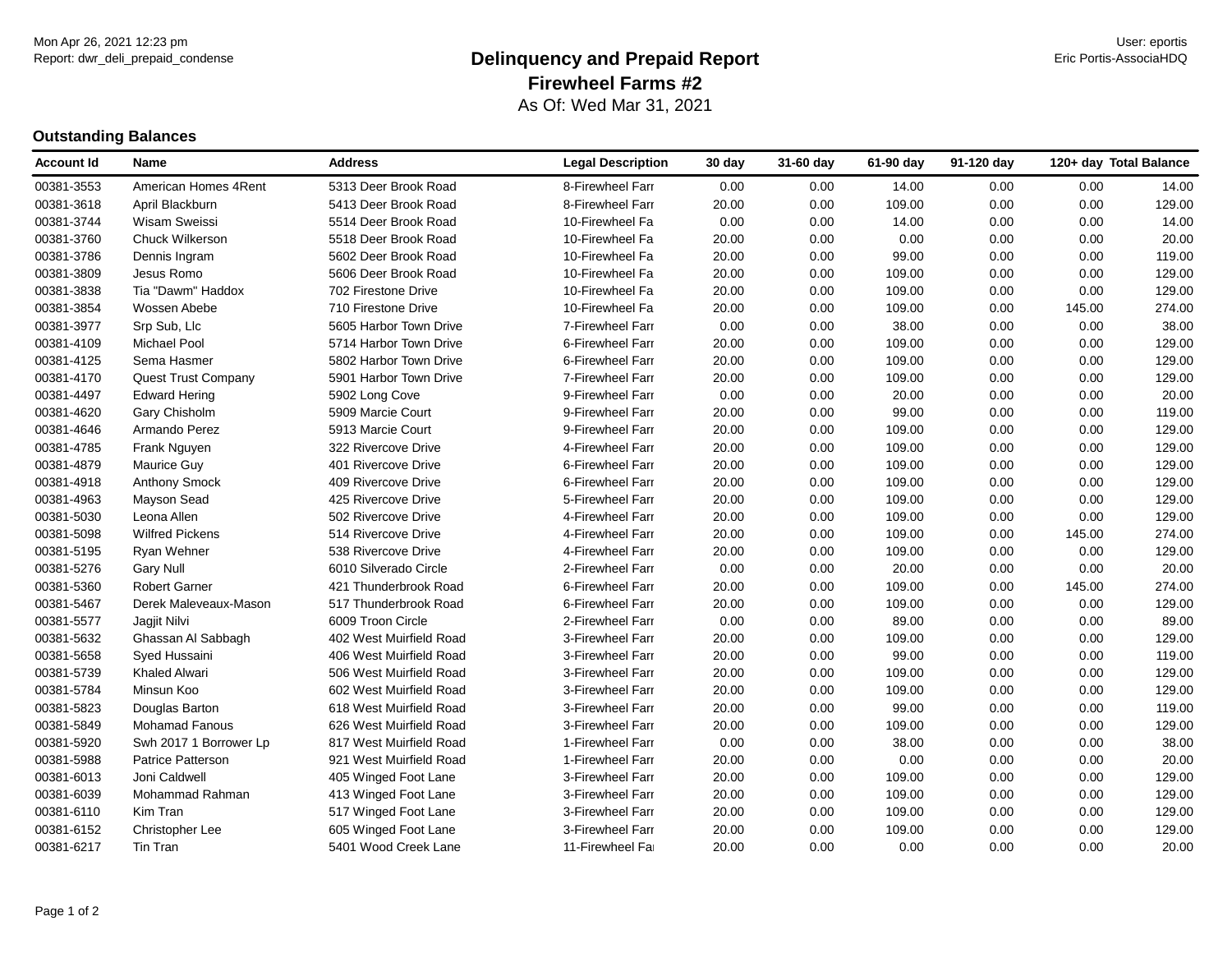#### Report: dwr\_deli\_prepaid\_condense **Eric Portis-AssociaHDQ Delinquency and Prepaid Report Example 19 and Prepaid Report** As Of: Wed Mar 31, 2021 **Firewheel Farms #2**

#### **Outstanding Balances**

| Account Id | <b>Name</b>                | <b>Address</b>          | <b>Legal Description</b> | 30 day | 31-60 day | 61-90 day | 91-120 day | 120+ day Total Balance |        |
|------------|----------------------------|-------------------------|--------------------------|--------|-----------|-----------|------------|------------------------|--------|
| 00381-3553 | American Homes 4Rent       | 5313 Deer Brook Road    | 8-Firewheel Farr         | 0.00   | 0.00      | 14.00     | 0.00       | 0.00                   | 14.00  |
| 00381-3618 | April Blackburn            | 5413 Deer Brook Road    | 8-Firewheel Farr         | 20.00  | 0.00      | 109.00    | 0.00       | 0.00                   | 129.00 |
| 00381-3744 | Wisam Sweissi              | 5514 Deer Brook Road    | 10-Firewheel Fa          | 0.00   | 0.00      | 14.00     | 0.00       | 0.00                   | 14.00  |
| 00381-3760 | Chuck Wilkerson            | 5518 Deer Brook Road    | 10-Firewheel Fa          | 20.00  | 0.00      | 0.00      | 0.00       | 0.00                   | 20.00  |
| 00381-3786 | Dennis Ingram              | 5602 Deer Brook Road    | 10-Firewheel Fa          | 20.00  | 0.00      | 99.00     | 0.00       | 0.00                   | 119.00 |
| 00381-3809 | Jesus Romo                 | 5606 Deer Brook Road    | 10-Firewheel Fa          | 20.00  | 0.00      | 109.00    | 0.00       | 0.00                   | 129.00 |
| 00381-3838 | Tia "Dawm" Haddox          | 702 Firestone Drive     | 10-Firewheel Fa          | 20.00  | 0.00      | 109.00    | 0.00       | 0.00                   | 129.00 |
| 00381-3854 | Wossen Abebe               | 710 Firestone Drive     | 10-Firewheel Fa          | 20.00  | 0.00      | 109.00    | 0.00       | 145.00                 | 274.00 |
| 00381-3977 | Srp Sub, Llc               | 5605 Harbor Town Drive  | 7-Firewheel Farr         | 0.00   | 0.00      | 38.00     | 0.00       | 0.00                   | 38.00  |
| 00381-4109 | <b>Michael Pool</b>        | 5714 Harbor Town Drive  | 6-Firewheel Farr         | 20.00  | 0.00      | 109.00    | 0.00       | 0.00                   | 129.00 |
| 00381-4125 | Sema Hasmer                | 5802 Harbor Town Drive  | 6-Firewheel Farr         | 20.00  | 0.00      | 109.00    | 0.00       | 0.00                   | 129.00 |
| 00381-4170 | <b>Quest Trust Company</b> | 5901 Harbor Town Drive  | 7-Firewheel Farr         | 20.00  | 0.00      | 109.00    | 0.00       | 0.00                   | 129.00 |
| 00381-4497 | <b>Edward Hering</b>       | 5902 Long Cove          | 9-Firewheel Farr         | 0.00   | 0.00      | 20.00     | 0.00       | 0.00                   | 20.00  |
| 00381-4620 | Gary Chisholm              | 5909 Marcie Court       | 9-Firewheel Farr         | 20.00  | 0.00      | 99.00     | 0.00       | 0.00                   | 119.00 |
| 00381-4646 | Armando Perez              | 5913 Marcie Court       | 9-Firewheel Farr         | 20.00  | 0.00      | 109.00    | 0.00       | 0.00                   | 129.00 |
| 00381-4785 | Frank Nguyen               | 322 Rivercove Drive     | 4-Firewheel Farr         | 20.00  | 0.00      | 109.00    | 0.00       | 0.00                   | 129.00 |
| 00381-4879 | Maurice Guy                | 401 Rivercove Drive     | 6-Firewheel Farr         | 20.00  | 0.00      | 109.00    | 0.00       | 0.00                   | 129.00 |
| 00381-4918 | Anthony Smock              | 409 Rivercove Drive     | 6-Firewheel Farr         | 20.00  | 0.00      | 109.00    | 0.00       | 0.00                   | 129.00 |
| 00381-4963 | Mayson Sead                | 425 Rivercove Drive     | 5-Firewheel Farr         | 20.00  | 0.00      | 109.00    | 0.00       | 0.00                   | 129.00 |
| 00381-5030 | Leona Allen                | 502 Rivercove Drive     | 4-Firewheel Farr         | 20.00  | 0.00      | 109.00    | 0.00       | 0.00                   | 129.00 |
| 00381-5098 | <b>Wilfred Pickens</b>     | 514 Rivercove Drive     | 4-Firewheel Farr         | 20.00  | 0.00      | 109.00    | 0.00       | 145.00                 | 274.00 |
| 00381-5195 | Ryan Wehner                | 538 Rivercove Drive     | 4-Firewheel Farr         | 20.00  | 0.00      | 109.00    | 0.00       | 0.00                   | 129.00 |
| 00381-5276 | <b>Gary Null</b>           | 6010 Silverado Circle   | 2-Firewheel Farr         | 0.00   | 0.00      | 20.00     | 0.00       | 0.00                   | 20.00  |
| 00381-5360 | <b>Robert Garner</b>       | 421 Thunderbrook Road   | 6-Firewheel Farr         | 20.00  | 0.00      | 109.00    | 0.00       | 145.00                 | 274.00 |
| 00381-5467 | Derek Maleveaux-Mason      | 517 Thunderbrook Road   | 6-Firewheel Farr         | 20.00  | 0.00      | 109.00    | 0.00       | 0.00                   | 129.00 |
| 00381-5577 | Jagjit Nilvi               | 6009 Troon Circle       | 2-Firewheel Farr         | 0.00   | 0.00      | 89.00     | 0.00       | 0.00                   | 89.00  |
| 00381-5632 | Ghassan Al Sabbagh         | 402 West Muirfield Road | 3-Firewheel Farr         | 20.00  | 0.00      | 109.00    | 0.00       | 0.00                   | 129.00 |
| 00381-5658 | Syed Hussaini              | 406 West Muirfield Road | 3-Firewheel Farr         | 20.00  | 0.00      | 99.00     | 0.00       | 0.00                   | 119.00 |
| 00381-5739 | <b>Khaled Alwari</b>       | 506 West Muirfield Road | 3-Firewheel Farr         | 20.00  | 0.00      | 109.00    | 0.00       | 0.00                   | 129.00 |
| 00381-5784 | Minsun Koo                 | 602 West Muirfield Road | 3-Firewheel Farr         | 20.00  | 0.00      | 109.00    | 0.00       | 0.00                   | 129.00 |
| 00381-5823 | Douglas Barton             | 618 West Muirfield Road | 3-Firewheel Farr         | 20.00  | 0.00      | 99.00     | 0.00       | 0.00                   | 119.00 |
| 00381-5849 | <b>Mohamad Fanous</b>      | 626 West Muirfield Road | 3-Firewheel Farr         | 20.00  | 0.00      | 109.00    | 0.00       | 0.00                   | 129.00 |
| 00381-5920 | Swh 2017 1 Borrower Lp     | 817 West Muirfield Road | 1-Firewheel Farr         | 0.00   | 0.00      | 38.00     | 0.00       | 0.00                   | 38.00  |
| 00381-5988 | <b>Patrice Patterson</b>   | 921 West Muirfield Road | 1-Firewheel Farr         | 20.00  | 0.00      | 0.00      | 0.00       | 0.00                   | 20.00  |
| 00381-6013 | Joni Caldwell              | 405 Winged Foot Lane    | 3-Firewheel Farr         | 20.00  | 0.00      | 109.00    | 0.00       | 0.00                   | 129.00 |
| 00381-6039 | Mohammad Rahman            | 413 Winged Foot Lane    | 3-Firewheel Farr         | 20.00  | 0.00      | 109.00    | 0.00       | 0.00                   | 129.00 |
| 00381-6110 | Kim Tran                   | 517 Winged Foot Lane    | 3-Firewheel Farr         | 20.00  | 0.00      | 109.00    | 0.00       | 0.00                   | 129.00 |
| 00381-6152 | Christopher Lee            | 605 Winged Foot Lane    | 3-Firewheel Farr         | 20.00  | 0.00      | 109.00    | 0.00       | 0.00                   | 129.00 |
| 00381-6217 | Tin Tran                   | 5401 Wood Creek Lane    | 11-Firewheel Fai         | 20.00  | 0.00      | 0.00      | 0.00       | 0.00                   | 20.00  |
|            |                            |                         |                          |        |           |           |            |                        |        |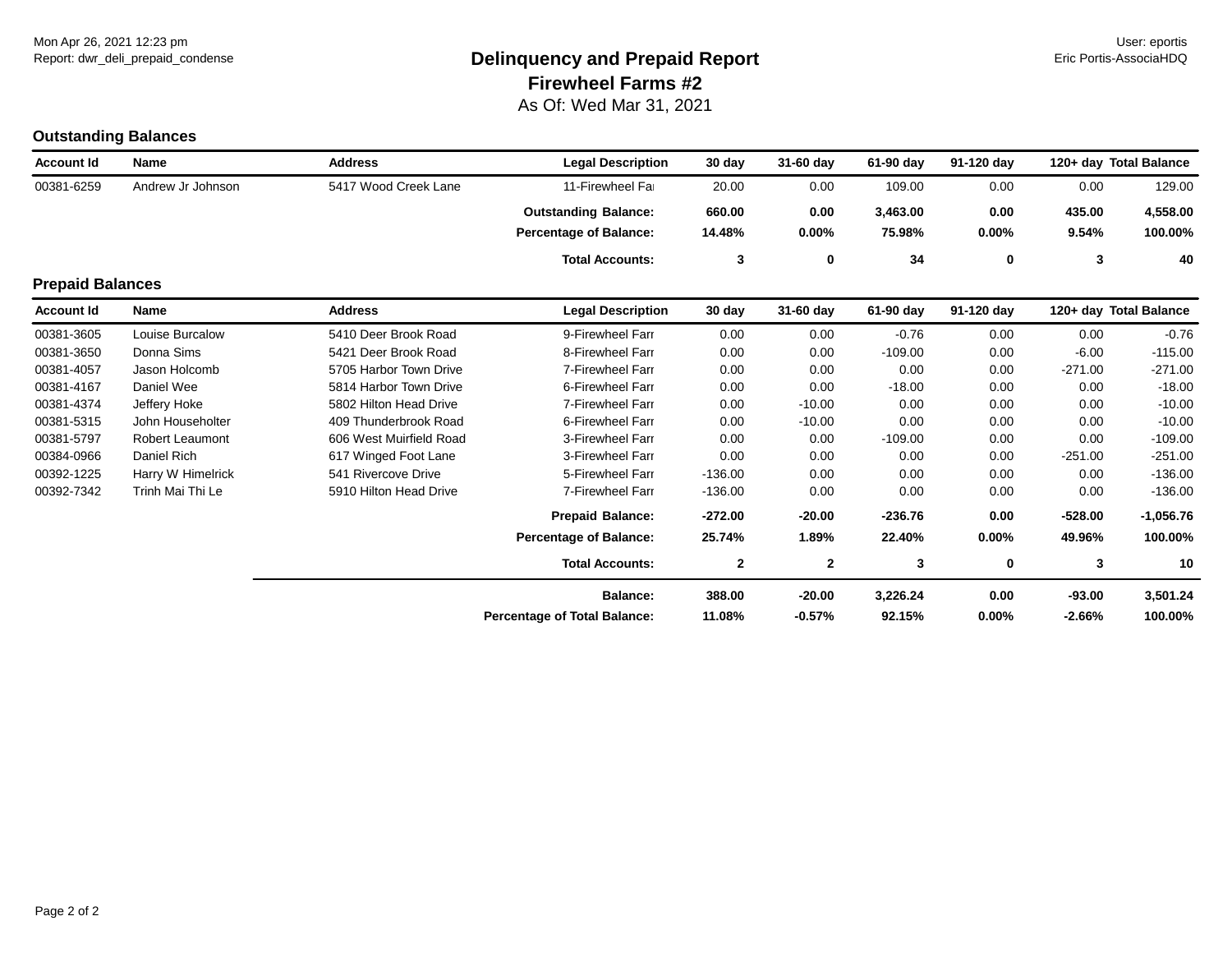#### Report: dwr\_deli\_prepaid\_condense **Eric Portis-AssociaHDQ Delinquency and Prepaid Report Example 19 and Prepaid Report** As Of: Wed Mar 31, 2021 **Firewheel Farms #2**

# **Outstanding Balances**

| <b>Account Id</b>       | Name                   | <b>Address</b>          | <b>Legal Description</b>            | 30 day       | 31-60 day    | 61-90 day | 91-120 day | 120+ day Total Balance |             |
|-------------------------|------------------------|-------------------------|-------------------------------------|--------------|--------------|-----------|------------|------------------------|-------------|
| 00381-6259              | Andrew Jr Johnson      | 5417 Wood Creek Lane    | 11-Firewheel Far                    | 20.00        | 0.00         | 109.00    | 0.00       | 0.00                   | 129.00      |
|                         |                        |                         | <b>Outstanding Balance:</b>         | 660.00       | 0.00         | 3,463.00  | 0.00       | 435.00                 | 4,558.00    |
|                         |                        |                         | <b>Percentage of Balance:</b>       | 14.48%       | $0.00\%$     | 75.98%    | $0.00\%$   | 9.54%                  | 100.00%     |
|                         |                        |                         | <b>Total Accounts:</b>              | 3            | 0            | 34        | 0          | 3                      | 40          |
| <b>Prepaid Balances</b> |                        |                         |                                     |              |              |           |            |                        |             |
| <b>Account Id</b>       | Name                   | <b>Address</b>          | <b>Legal Description</b>            | 30 day       | 31-60 day    | 61-90 day | 91-120 day | 120+ day Total Balance |             |
| 00381-3605              | Louise Burcalow        | 5410 Deer Brook Road    | 9-Firewheel Farr                    | 0.00         | 0.00         | $-0.76$   | 0.00       | 0.00                   | $-0.76$     |
| 00381-3650              | Donna Sims             | 5421 Deer Brook Road    | 8-Firewheel Farr                    | 0.00         | 0.00         | $-109.00$ | 0.00       | $-6.00$                | $-115.00$   |
| 00381-4057              | Jason Holcomb          | 5705 Harbor Town Drive  | 7-Firewheel Farr                    | 0.00         | 0.00         | 0.00      | 0.00       | $-271.00$              | $-271.00$   |
| 00381-4167              | Daniel Wee             | 5814 Harbor Town Drive  | 6-Firewheel Farr                    | 0.00         | 0.00         | $-18.00$  | 0.00       | 0.00                   | $-18.00$    |
| 00381-4374              | Jeffery Hoke           | 5802 Hilton Head Drive  | 7-Firewheel Farr                    | 0.00         | $-10.00$     | 0.00      | 0.00       | 0.00                   | $-10.00$    |
| 00381-5315              | John Householter       | 409 Thunderbrook Road   | 6-Firewheel Farr                    | 0.00         | $-10.00$     | 0.00      | 0.00       | 0.00                   | $-10.00$    |
| 00381-5797              | <b>Robert Leaumont</b> | 606 West Muirfield Road | 3-Firewheel Farr                    | 0.00         | 0.00         | $-109.00$ | 0.00       | 0.00                   | $-109.00$   |
| 00384-0966              | Daniel Rich            | 617 Winged Foot Lane    | 3-Firewheel Farr                    | 0.00         | 0.00         | 0.00      | 0.00       | $-251.00$              | $-251.00$   |
| 00392-1225              | Harry W Himelrick      | 541 Rivercove Drive     | 5-Firewheel Farr                    | $-136.00$    | 0.00         | 0.00      | 0.00       | 0.00                   | $-136.00$   |
| 00392-7342              | Trinh Mai Thi Le       | 5910 Hilton Head Drive  | 7-Firewheel Farr                    | $-136.00$    | 0.00         | 0.00      | 0.00       | 0.00                   | $-136.00$   |
|                         |                        |                         | <b>Prepaid Balance:</b>             | $-272.00$    | $-20.00$     | $-236.76$ | 0.00       | $-528.00$              | $-1,056.76$ |
|                         |                        |                         | <b>Percentage of Balance:</b>       | 25.74%       | 1.89%        | 22.40%    | $0.00\%$   | 49.96%                 | 100.00%     |
|                         |                        |                         | <b>Total Accounts:</b>              | $\mathbf{2}$ | $\mathbf{2}$ | 3         | 0          | 3                      | 10          |
|                         |                        |                         | <b>Balance:</b>                     | 388.00       | $-20.00$     | 3,226.24  | 0.00       | $-93.00$               | 3,501.24    |
|                         |                        |                         | <b>Percentage of Total Balance:</b> | 11.08%       | $-0.57%$     | 92.15%    | $0.00\%$   | $-2.66%$               | 100.00%     |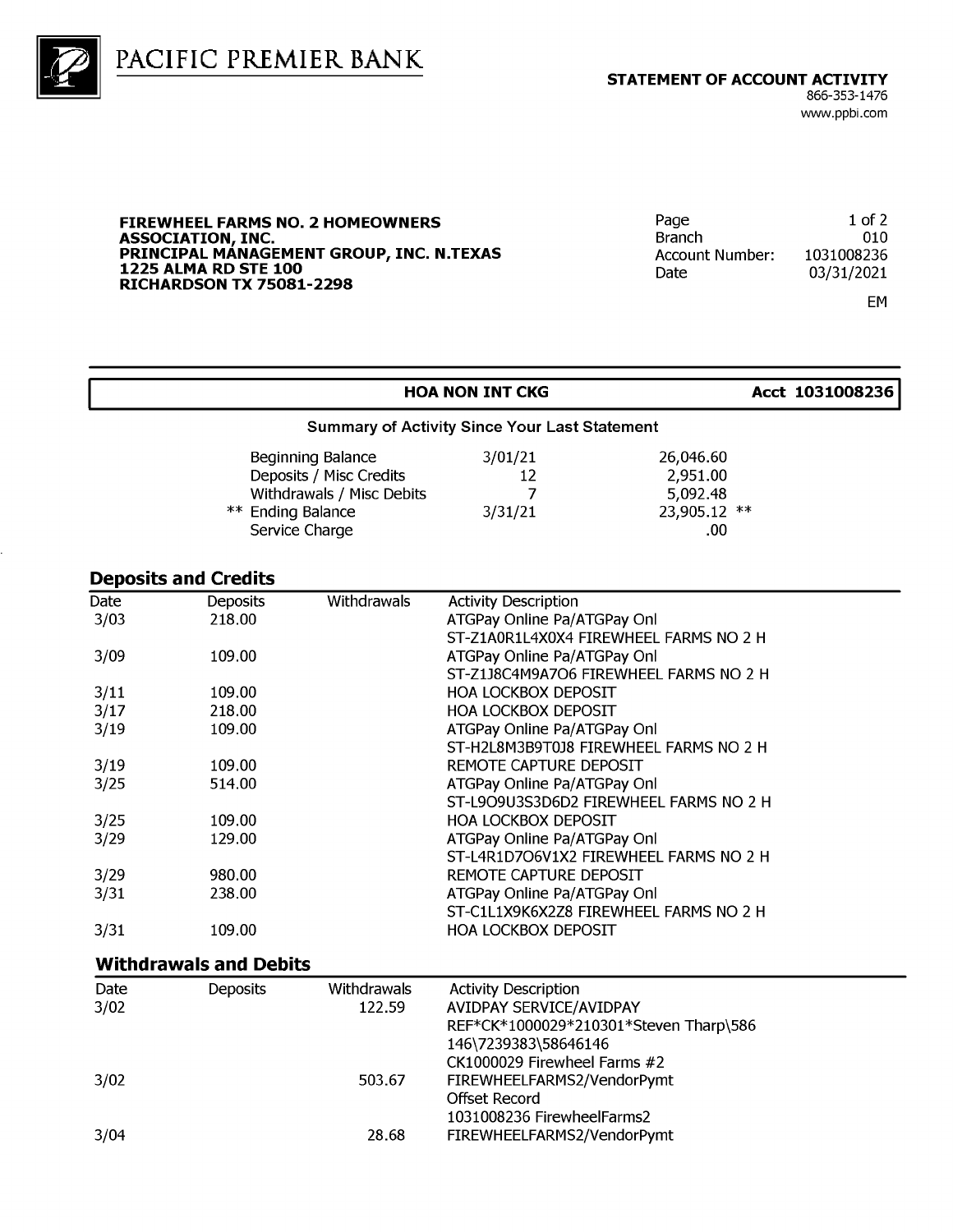



#### **FIREWHEEL FARMS NO. 2 HOMEOWNERS** ASSOCIATION, INC.<br>PRINCIPAL MANAGEMENT GROUP, INC. N.TEXAS **1225 ALMA RD STE 100 RICHARDSON TX 75081-2298**

| Page                   | $1$ of $2$ |
|------------------------|------------|
| <b>Branch</b>          | 010        |
| <b>Account Number:</b> | 1031008236 |
| Date.                  | 03/31/2021 |
|                        |            |

23,905.12 \*\*

.00

EM

#### **HOA NON INT CKG** Acct 1031008236 **Summary of Activity Since Your Last Statement**  $3/01/21$ 26,046.60 Beginning Balance Deposits / Misc Credits 2,951.00  $12$ Withdrawals / Misc Debits  $\overline{7}$ 5,092.48

 $3/31/21$ 

| ** Ending Balance |
|-------------------|
| Service Charge    |
|                   |

#### **Deposits and Credits**

| Date | <b>Deposits</b>               | Withdrawals | <b>Activity Description</b>            |
|------|-------------------------------|-------------|----------------------------------------|
| 3/03 | 218.00                        |             | ATGPay Online Pa/ATGPay Onl            |
|      |                               |             | ST-Z1A0R1L4X0X4 FIREWHEEL FARMS NO 2 H |
| 3/09 | 109.00                        |             | ATGPay Online Pa/ATGPay Onl            |
|      |                               |             | ST-Z1J8C4M9A7O6 FIREWHEEL FARMS NO 2 H |
| 3/11 | 109.00                        |             | <b>HOA LOCKBOX DEPOSIT</b>             |
| 3/17 | 218.00                        |             | <b>HOA LOCKBOX DEPOSIT</b>             |
| 3/19 | 109.00                        |             | ATGPay Online Pa/ATGPay Onl            |
|      |                               |             | ST-H2L8M3B9T0J8 FIREWHEEL FARMS NO 2 H |
| 3/19 | 109.00                        |             | REMOTE CAPTURE DEPOSIT                 |
| 3/25 | 514.00                        |             | ATGPay Online Pa/ATGPay Onl            |
|      |                               |             | ST-L9O9U3S3D6D2 FIREWHEEL FARMS NO 2 H |
| 3/25 | 109.00                        |             | <b>HOA LOCKBOX DEPOSIT</b>             |
| 3/29 | 129.00                        |             | ATGPay Online Pa/ATGPay Onl            |
|      |                               |             | ST-L4R1D7O6V1X2 FIREWHEEL FARMS NO 2 H |
| 3/29 | 980.00                        |             | REMOTE CAPTURE DEPOSIT                 |
| 3/31 | 238.00                        |             | ATGPay Online Pa/ATGPay Onl            |
|      |                               |             | ST-C1L1X9K6X2Z8 FIREWHEEL FARMS NO 2 H |
| 3/31 | 109.00                        |             | <b>HOA LOCKBOX DEPOSIT</b>             |
|      | <b>Withdrawals and Debits</b> |             |                                        |
| Date | <b>Deposits</b>               | Withdrawals | Activity Description.                  |

| REF*CK*1000029*210301*Steven Tharp\586 |
|----------------------------------------|
|                                        |
|                                        |
|                                        |
|                                        |
|                                        |
|                                        |
|                                        |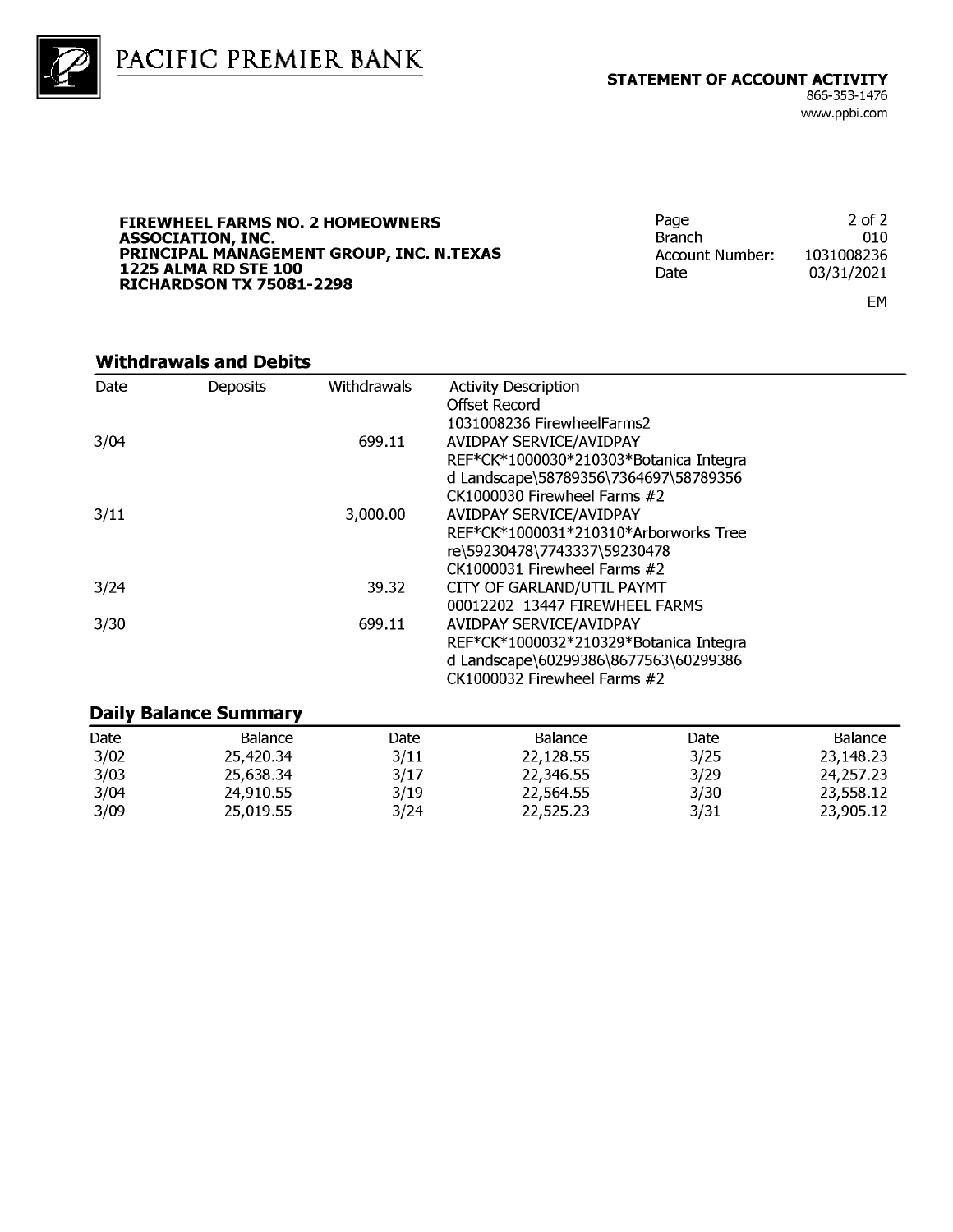

PACIFIC PREMIER BANK

**FIREWHEEL FARMS NO. 2 HOMEOWNERS** ASSOCIATION, INC.<br>PRINCIPAL MANAGEMENT GROUP, INC. N.TEXAS **1225 ALMA RD STE 100 RICHARDSON TX 75081-2298** 

 $2$  of  $2$ Page **Branch** 010 1031008236 **Account Number:** Date 03/31/2021

EM

#### **Withdrawals and Debits**

| Date | <b>Deposits</b> | Withdrawals | <b>Activity Description</b>            |  |
|------|-----------------|-------------|----------------------------------------|--|
|      |                 |             | Offset Record                          |  |
|      |                 |             | 1031008236 FirewheelFarms2             |  |
| 3/04 |                 | 699.11      | AVIDPAY SERVICE/AVIDPAY                |  |
|      |                 |             | REF*CK*1000030*210303*Botanica Integra |  |
|      |                 |             | d Landscape\58789356\7364697\58789356  |  |
|      |                 |             | CK1000030 Firewheel Farms #2           |  |
| 3/11 |                 | 3,000.00    | <b>AVIDPAY SERVICE/AVIDPAY</b>         |  |
|      |                 |             | REF*CK*1000031*210310*Arborworks Tree  |  |
|      |                 |             | re\59230478\7743337\59230478           |  |
|      |                 |             | $CK1000031$ Firewheel Farms $#2$       |  |
| 3/24 |                 | 39.32       | CITY OF GARLAND/UTIL PAYMT             |  |
|      |                 |             | 00012202 13447 FIREWHEEL FARMS         |  |
| 3/30 |                 | 699.11      | AVIDPAY SERVICE/AVIDPAY                |  |
|      |                 |             | REF*CK*1000032*210329*Botanica Integra |  |
|      |                 |             | d Landscape\60299386\8677563\60299386  |  |
|      |                 |             | CK1000032 Firewheel Farms #2           |  |
|      |                 |             |                                        |  |

#### **Daily Balance Summary**

| Date | Balance   | Date | <b>Balance</b> | Date | Balance   |
|------|-----------|------|----------------|------|-----------|
| 3/02 | 25,420.34 | 3/11 | 22,128.55      | 3/25 | 23,148.23 |
| 3/03 | 25.638.34 | 3/17 | 22,346.55      | 3/29 | 24,257.23 |
| 3/04 | 24,910.55 | 3/19 | 22,564.55      | 3/30 | 23.558.12 |
| 3/09 | 25.019.55 | 3/24 | 22.525.23      | 3/31 | 23.905.12 |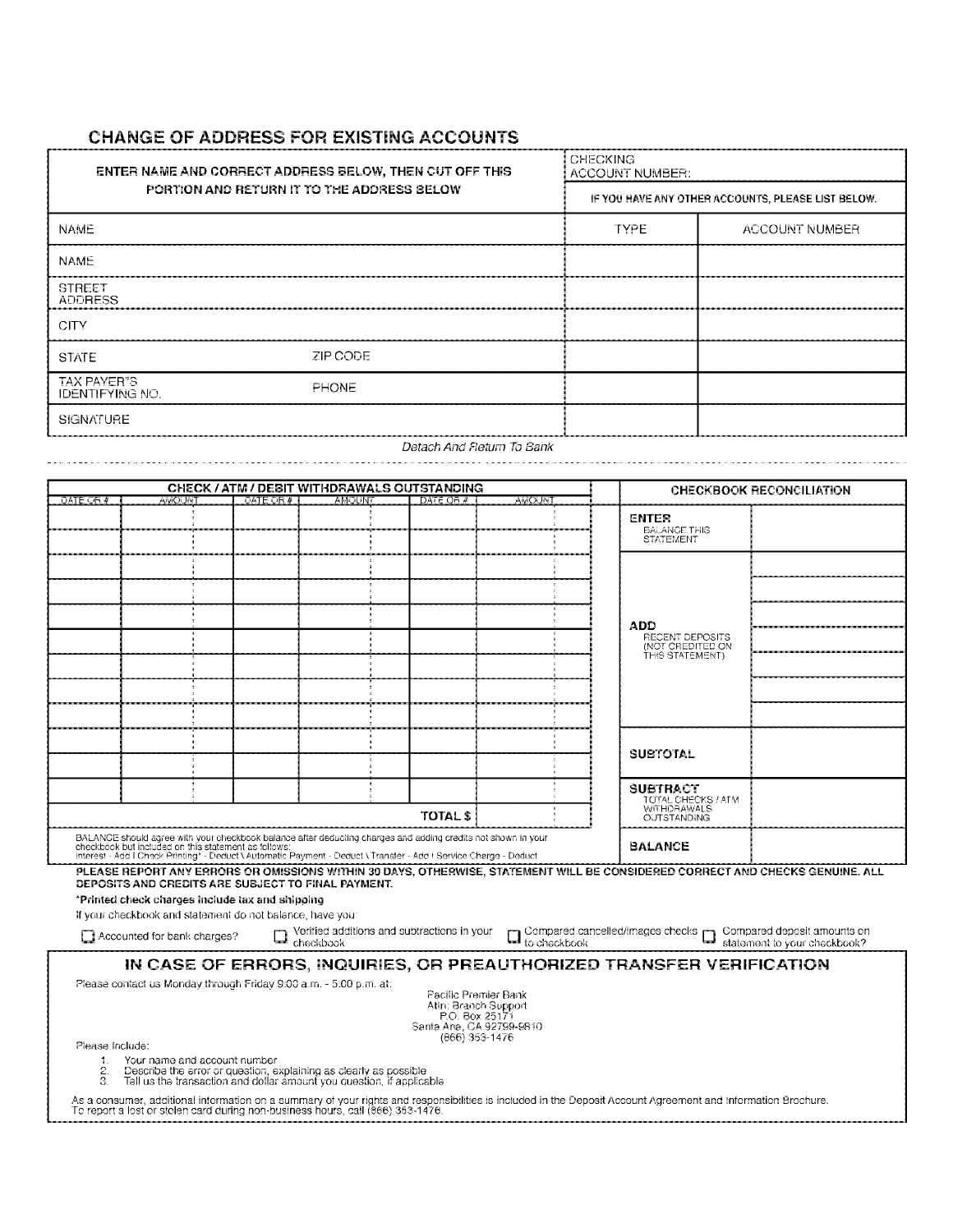#### **CHANGE OF ADDRESS FOR EXISTING ACCOUNTS**

| <b>ENTER NAME AND CORRECT ADDRESS BELOW, THEN CUT OFF THIS</b> | <b>CHECKING</b><br>ACCOUNT NUMBER: |             |                                                    |
|----------------------------------------------------------------|------------------------------------|-------------|----------------------------------------------------|
| PORTION AND RETURN IT TO THE ADDRESS BELOW                     |                                    |             | IF YOU HAVE ANY OTHER ACCOUNTS, PLEASE LIST BELOW. |
| <b>NAME</b>                                                    |                                    | <b>TYPE</b> | ACCOUNT NUMBER                                     |
| <b>NAME</b>                                                    |                                    |             |                                                    |
| <b>STREET</b><br><b>ADDRESS</b>                                |                                    |             |                                                    |
| <b>CITY</b>                                                    |                                    |             |                                                    |
| <b>STATE</b>                                                   | ZIP CODE                           |             |                                                    |
| TAX PAYER"S<br><b>IDENTIFYING NO.</b>                          | <b>PHONE</b>                       |             |                                                    |
| <b>SIGNATURE</b>                                               |                                    |             |                                                    |
|                                                                | Detach And Return To Bank          |             |                                                    |

|                                                                                                                                                                                     |                                                                                                                                                                           |             | <b>CHECK / ATM / DEBIT WITHDRAWALS OUTSTANDING</b> |                 |       |                                       | <b>CHECKBOOK RECONCILIATION</b> |
|-------------------------------------------------------------------------------------------------------------------------------------------------------------------------------------|---------------------------------------------------------------------------------------------------------------------------------------------------------------------------|-------------|----------------------------------------------------|-----------------|-------|---------------------------------------|---------------------------------|
| DATE OR #                                                                                                                                                                           | amoi Int                                                                                                                                                                  | DATE OR $#$ | AMOUNT                                             | DATE OR #       | AMOUN |                                       |                                 |
|                                                                                                                                                                                     |                                                                                                                                                                           |             |                                                    |                 |       | <b>ENTER</b>                          |                                 |
|                                                                                                                                                                                     |                                                                                                                                                                           |             |                                                    |                 |       | <b>BALANCE THIS</b>                   |                                 |
|                                                                                                                                                                                     |                                                                                                                                                                           |             |                                                    |                 |       | <b>STATEMENT</b>                      |                                 |
|                                                                                                                                                                                     |                                                                                                                                                                           |             |                                                    |                 |       |                                       |                                 |
|                                                                                                                                                                                     |                                                                                                                                                                           |             |                                                    |                 |       |                                       |                                 |
|                                                                                                                                                                                     |                                                                                                                                                                           |             |                                                    |                 |       |                                       |                                 |
|                                                                                                                                                                                     |                                                                                                                                                                           |             |                                                    |                 |       |                                       |                                 |
|                                                                                                                                                                                     |                                                                                                                                                                           |             |                                                    |                 |       |                                       |                                 |
|                                                                                                                                                                                     |                                                                                                                                                                           |             |                                                    |                 |       | <b>ADD</b><br>RECENT DEPOSITS         |                                 |
|                                                                                                                                                                                     |                                                                                                                                                                           |             |                                                    |                 |       | (NOT CREDITED ON                      |                                 |
|                                                                                                                                                                                     |                                                                                                                                                                           |             |                                                    |                 |       | THIS STATEMENT)                       |                                 |
|                                                                                                                                                                                     |                                                                                                                                                                           |             |                                                    |                 |       |                                       |                                 |
|                                                                                                                                                                                     |                                                                                                                                                                           |             |                                                    |                 |       |                                       |                                 |
|                                                                                                                                                                                     |                                                                                                                                                                           |             |                                                    |                 |       |                                       |                                 |
|                                                                                                                                                                                     |                                                                                                                                                                           |             |                                                    |                 |       |                                       |                                 |
|                                                                                                                                                                                     |                                                                                                                                                                           |             |                                                    |                 |       |                                       |                                 |
|                                                                                                                                                                                     |                                                                                                                                                                           |             |                                                    |                 |       | <b>SUBTOTAL</b>                       |                                 |
|                                                                                                                                                                                     |                                                                                                                                                                           |             |                                                    |                 |       |                                       |                                 |
|                                                                                                                                                                                     |                                                                                                                                                                           |             |                                                    |                 |       |                                       |                                 |
|                                                                                                                                                                                     |                                                                                                                                                                           |             |                                                    |                 |       | <b>SUBTRACT</b><br>TOTAL CHECKS / ATM |                                 |
|                                                                                                                                                                                     |                                                                                                                                                                           |             |                                                    |                 |       | <b>WITHDRAWALS</b>                    |                                 |
|                                                                                                                                                                                     |                                                                                                                                                                           |             |                                                    | <b>TOTAL \$</b> |       | <b>OUTSTANDING</b>                    |                                 |
|                                                                                                                                                                                     | BALANCE should agree with your checkbook balance after deducting charges and adding credits not shown in your                                                             |             |                                                    |                 |       |                                       |                                 |
|                                                                                                                                                                                     | checkbook but included on this statement as follows:<br>Interest - Add I Check Printing* - Deduct \ Automatic Payment - Deduct \ Transfer - Add   Service Charge - Deduct |             |                                                    |                 |       | <b>BALANCE</b>                        |                                 |
|                                                                                                                                                                                     |                                                                                                                                                                           |             |                                                    |                 |       |                                       |                                 |
| PLEASE REPORT ANY ERRORS OR OMISSIONS WITHIN 30 DAYS, OTHERWISE, STATEMENT WILL BE CONSIDERED CORRECT AND CHECKS GENUINE. ALL<br>DEPOSITS AND CREDITS ARE SUBJECT TO FINAL PAYMENT. |                                                                                                                                                                           |             |                                                    |                 |       |                                       |                                 |
| *Printed check charges include tax and shipping                                                                                                                                     |                                                                                                                                                                           |             |                                                    |                 |       |                                       |                                 |
| If your checkbook and statement do not balance, have you:                                                                                                                           |                                                                                                                                                                           |             |                                                    |                 |       |                                       |                                 |
|                                                                                                                                                                                     |                                                                                                                                                                           |             |                                                    |                 |       |                                       |                                 |
| $\square$ Verified additions and subtractions in your $\square$ Compared cancelled/images checks $\square$ Compared deposit amounts on checkbook?<br>Accounted for bank charges?    |                                                                                                                                                                           |             |                                                    |                 |       |                                       |                                 |
|                                                                                                                                                                                     |                                                                                                                                                                           |             |                                                    |                 |       |                                       |                                 |
|                                                                                                                                                                                     | IN CASE OF ERRORS, INQUIRIES, OR PREAUTHORIZED TRANSFER VERIFICATION                                                                                                      |             |                                                    |                 |       |                                       |                                 |

Please contact us Monday through Friday 9:00 a.m. - 5:00 p.m. at:

Pacific Premier Bank<br>Atin: Branch Support<br>P.O. Box 25171<br>Santa Ana, CA 92799-9810<br>(866) 353-1476

Please Include:

1. Your name and account number<br>2. Describe the error or question, explaining as clearly as possible<br>3. Tell us the transaction and dollar amount you question, if applicable

As a consumer, additional information on a summary of your rights and responsibilities is included in the Deposit Account Agreement and Information Brochure.<br>To report a lost or stolen card during non-business hours, call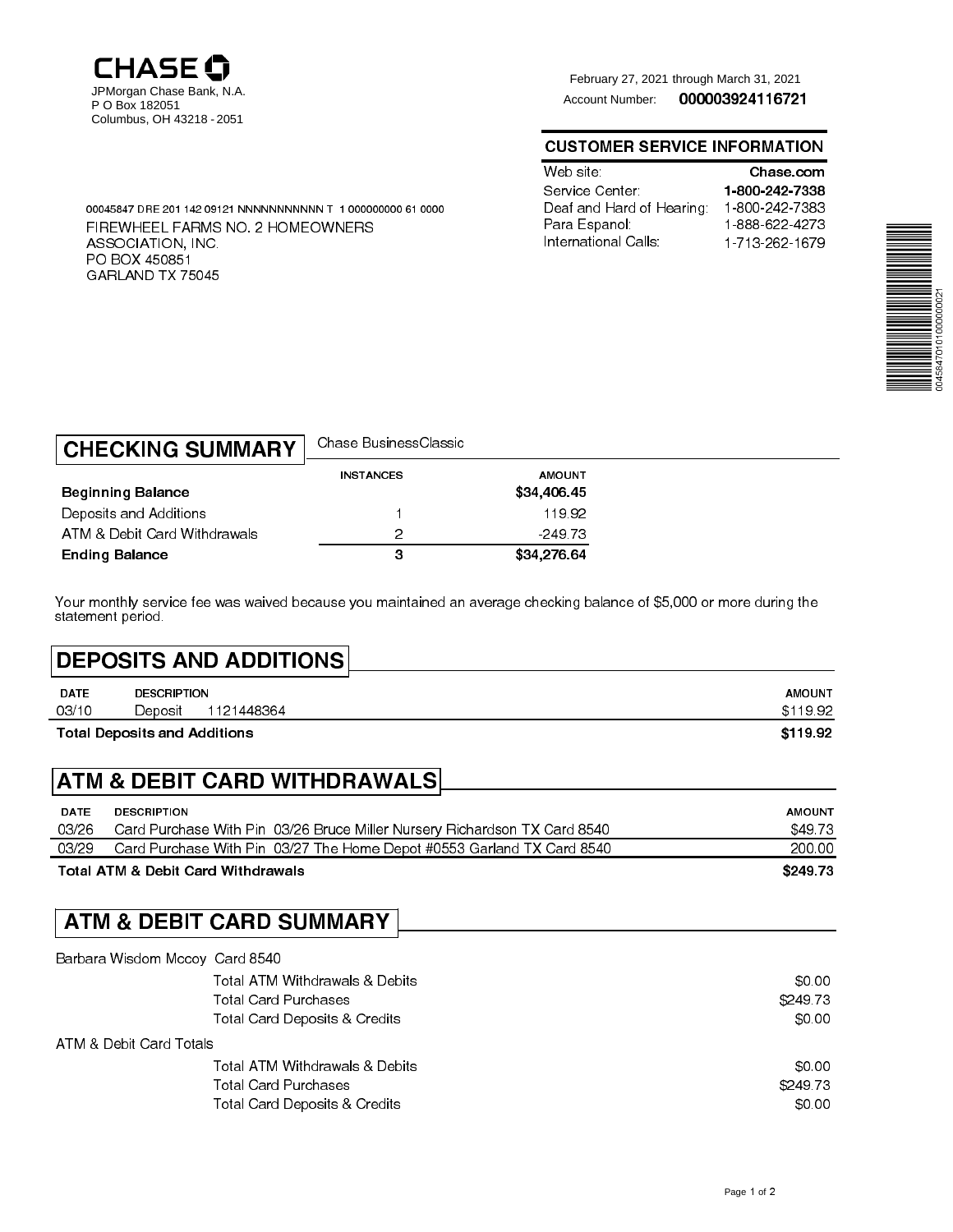

ASSOCIATION, INC. PO BOX 450851 GARLAND TX <sup>75045</sup>

<sup>00045847</sup> DRE 201 142 09121 NNNNNNNNNNN T 1 000000000 61 <sup>0000</sup>

FIREWHEEL FARMS NO. 2 HOMEOWNERS

<sup>000003924116721</sup> February 27, 2021 through March 31, 2021 Account Number:

#### CUSTOMER SERVICE INFORMATION

| Web site :               | Chase com      |
|--------------------------|----------------|
| Service Center           | 1-800-242-7338 |
| Deaf and Hard of Hearing | 1-800-242-7383 |
| Para Espanol:            | 1888-622-4273  |
| International Calls:     | 1-713-262-1679 |



| <b>CHECKING SUMMARY</b>      | Chase BusinessClassic |                              |  |
|------------------------------|-----------------------|------------------------------|--|
| <b>Beginning Balance</b>     | <b>INSTANCES</b>      | <b>AMOUNT</b><br>\$34,406.45 |  |
| Deposits and Additions       |                       | 19.92                        |  |
| ATM & Debit Card Withdrawals | っ                     | $-249.73$                    |  |
| <b>Ending Balance</b>        | з                     | \$34,276.64                  |  |

Your monthly service fee was waived because you maintained an average checking balance of \$5,000 or more during the statement period.

# DEPOSITS AND ADDITIONS

|             | Total Deposits and Additions |            | \$119.92      |
|-------------|------------------------------|------------|---------------|
| 03/10       | Deposit                      | 1121448364 | \$119.92      |
| <b>DATE</b> | <b>DESCRIPTION</b>           |            | <b>AMOUNT</b> |

## ATM & DEBIT CARD WITHDRAWALS

| \$249.73      |
|---------------|
| 200.00        |
| \$49.73       |
| <b>AMOUNT</b> |
|               |

## ATM & DEBIT CARD SUMMARY

| Barbara Wisdom Mccoy Card 8540           |          |
|------------------------------------------|----------|
| Total ATM Withdrawals & Debits           | \$0.00   |
| <b>Total Card Purchases</b>              | \$249.73 |
| Total Card Deposits & Credits            | \$0.00   |
| ATM & Debit Card Totals                  |          |
| Total ATM Withdrawals & Debits           | \$0.00   |
| <b>Total Card Purchases</b>              | \$24973  |
| <b>Total Card Deposits &amp; Credits</b> | \$0.00   |